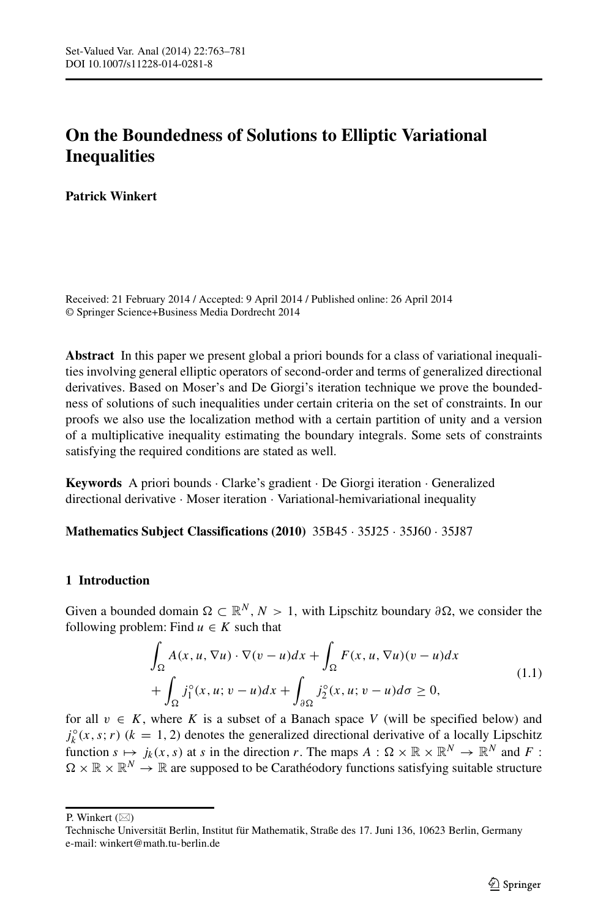# **On the Boundedness of Solutions to Elliptic Variational Inequalities**

**Patrick Winkert**

Received: 21 February 2014 / Accepted: 9 April 2014 / Published online: 26 April 2014 © Springer Science+Business Media Dordrecht 2014

**Abstract** In this paper we present global a priori bounds for a class of variational inequalities involving general elliptic operators of second-order and terms of generalized directional derivatives. Based on Moser's and De Giorgi's iteration technique we prove the boundedness of solutions of such inequalities under certain criteria on the set of constraints. In our proofs we also use the localization method with a certain partition of unity and a version of a multiplicative inequality estimating the boundary integrals. Some sets of constraints satisfying the required conditions are stated as well.

**Keywords** A priori bounds · Clarke's gradient · De Giorgi iteration · Generalized directional derivative · Moser iteration · Variational-hemivariational inequality

### **Mathematics Subject Classifications (2010)** 35B45 · 35J25 · 35J60 · 35J87

### **1 Introduction**

Given a bounded domain  $\Omega \subset \mathbb{R}^N$ ,  $N > 1$ , with Lipschitz boundary  $\partial \Omega$ , we consider the following problem: Find  $u \in K$  such that

<span id="page-0-0"></span>
$$
\int_{\Omega} A(x, u, \nabla u) \cdot \nabla (v - u) dx + \int_{\Omega} F(x, u, \nabla u) (v - u) dx \n+ \int_{\Omega} j_1^{\circ}(x, u; v - u) dx + \int_{\partial \Omega} j_2^{\circ}(x, u; v - u) d\sigma \ge 0,
$$
\n(1.1)

for all  $v \in K$ , where K is a subset of a Banach space V (will be specified below) and  $j_k^{\circ}(x, s; r)$  ( $k = 1, 2$ ) denotes the generalized directional derivative of a locally Lipschitz function  $s \mapsto j_k(x, s)$  at *s* in the direction *r*. The maps  $A : \Omega \times \mathbb{R} \times \mathbb{R}^N \to \mathbb{R}^N$  and *F* :  $\Omega \times \mathbb{R} \times \mathbb{R}^N \to \mathbb{R}$  are supposed to be Carathéodory functions satisfying suitable structure

P. Winkert  $(\boxtimes)$ 

Technische Universität Berlin, Institut für Mathematik, Straße des 17. Juni 136, 10623 Berlin, Germany e-mail: [winkert@math.tu-berlin.de](mailto:winkert@math.tu-berlin.de)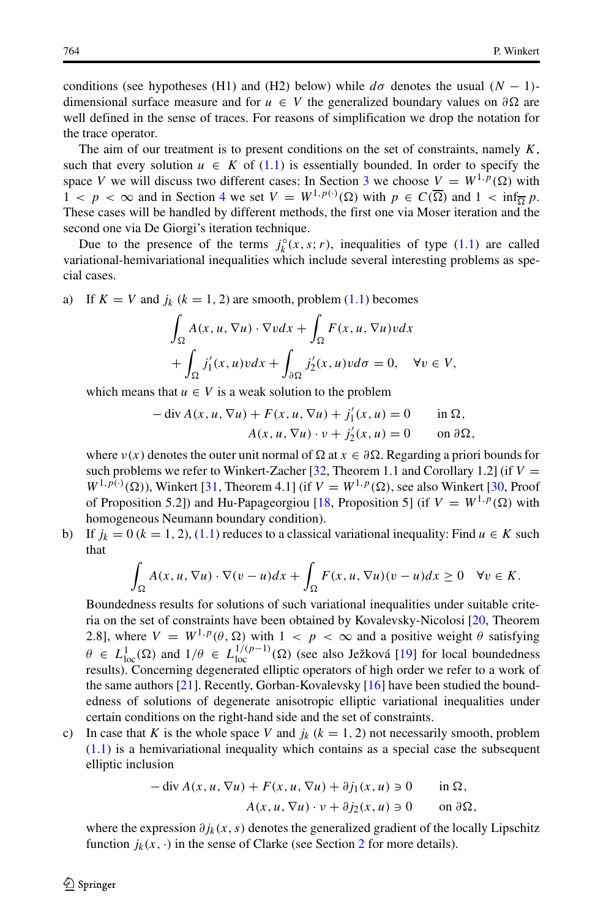conditions (see hypotheses (H1) and (H2) below) while  $d\sigma$  denotes the usual  $(N - 1)$ dimensional surface measure and for  $u \in V$  the generalized boundary values on  $\partial \Omega$  are well defined in the sense of traces. For reasons of simplification we drop the notation for the trace operator.

The aim of our treatment is to present conditions on the set of constraints, namely *K*, such that every solution  $u \in K$  of [\(1.1\)](#page-0-0) is essentially bounded. In order to specify the space *V* we will discuss two different cases: In Section [3](#page-5-0) we choose  $\underline{V} = W^{1,p}(\Omega)$  with  $1 < p < \infty$  and in Section [4](#page-12-0) we set  $V = W^{1,p(\cdot)}(\Omega)$  with  $p \in C(\overline{\Omega})$  and  $1 < \inf_{\overline{\Omega}} p$ . These cases will be handled by different methods, the first one via Moser iteration and the second one via De Giorgi's iteration technique.

Due to the presence of the terms  $j_k^{\circ}(x, s; r)$ , inequalities of type [\(1.1\)](#page-0-0) are called variational-hemivariational inequalities which include several interesting problems as special cases.

a) If  $K = V$  and  $j_k$  ( $k = 1, 2$ ) are smooth, problem [\(1.1\)](#page-0-0) becomes

$$
\int_{\Omega} A(x, u, \nabla u) \cdot \nabla v dx + \int_{\Omega} F(x, u, \nabla u) v dx + \int_{\Omega} j'_1(x, u) v dx + \int_{\partial \Omega} j'_2(x, u) v d\sigma = 0, \quad \forall v \in V,
$$

which means that  $u \in V$  is a weak solution to the problem

$$
-\operatorname{div} A(x, u, \nabla u) + F(x, u, \nabla u) + j'_1(x, u) = 0 \quad \text{in } \Omega,
$$
  
 
$$
A(x, u, \nabla u) \cdot v + j'_2(x, u) = 0 \quad \text{on } \partial \Omega,
$$

where  $v(x)$  denotes the outer unit normal of  $\Omega$  at  $x \in \partial \Omega$ . Regarding a priori bounds for such problems we refer to Winkert-Zacher  $[32,$  Theorem 1.1 and Corollary 1.2] (if  $V =$  $W^{1,p(\cdot)}(\Omega)$ ), Winkert [\[31,](#page-18-1) Theorem 4.1] (if  $V = W^{1,p}(\Omega)$ , see also Winkert [\[30,](#page-18-2) Proof of Proposition 5.2]) and Hu-Papageorgiou [\[18,](#page-18-3) Proposition 5] (if  $V = W^{1,p}(\Omega)$  with homogeneous Neumann boundary condition).

b) If  $j_k = 0$  ( $k = 1, 2$ ), [\(1.1\)](#page-0-0) reduces to a classical variational inequality: Find  $u \in K$  such that

$$
\int_{\Omega} A(x, u, \nabla u) \cdot \nabla (v - u) dx + \int_{\Omega} F(x, u, \nabla u) (v - u) dx \ge 0 \quad \forall v \in K.
$$

Boundedness results for solutions of such variational inequalities under suitable criteria on the set of constraints have been obtained by Kovalevsky-Nicolosi [\[20,](#page-18-4) Theorem 2.8], where  $V = W^{1,p}(\theta, \Omega)$  with  $1 < p < \infty$  and a positive weight  $\theta$  satisfying *θ* ∈ *L*<sub>1</sub><sup>1</sup><sub>0</sub><sup>2</sup>(Ω) and 1*/θ* ∈ *L*<sub>1</sub><sup>1</sup><sub>*l*0</sub><sup>2</sup>(Ω) (see also Ježková [\[19\]](#page-18-5) for local boundedness results). Concerning degenerated elliptic operators of high order we refer to a work of the same authors [\[21\]](#page-18-6). Recently, Gorban-Kovalevsky [\[16\]](#page-18-7) have been studied the boundedness of solutions of degenerate anisotropic elliptic variational inequalities under certain conditions on the right-hand side and the set of constraints.

c) In case that *K* is the whole space *V* and  $j_k$  ( $k = 1, 2$ ) not necessarily smooth, problem [\(1.1\)](#page-0-0) is a hemivariational inequality which contains as a special case the subsequent elliptic inclusion

$$
-\operatorname{div} A(x, u, \nabla u) + F(x, u, \nabla u) + \partial j_1(x, u) \ni 0 \quad \text{in } \Omega,
$$
  

$$
A(x, u, \nabla u) \cdot v + \partial j_2(x, u) \ni 0 \quad \text{on } \partial \Omega,
$$

where the expression *∂jk (x, s)* denotes the generalized gradient of the locally Lipschitz function  $j_k(x, \cdot)$  in the sense of Clarke (see Section [2](#page-2-0) for more details).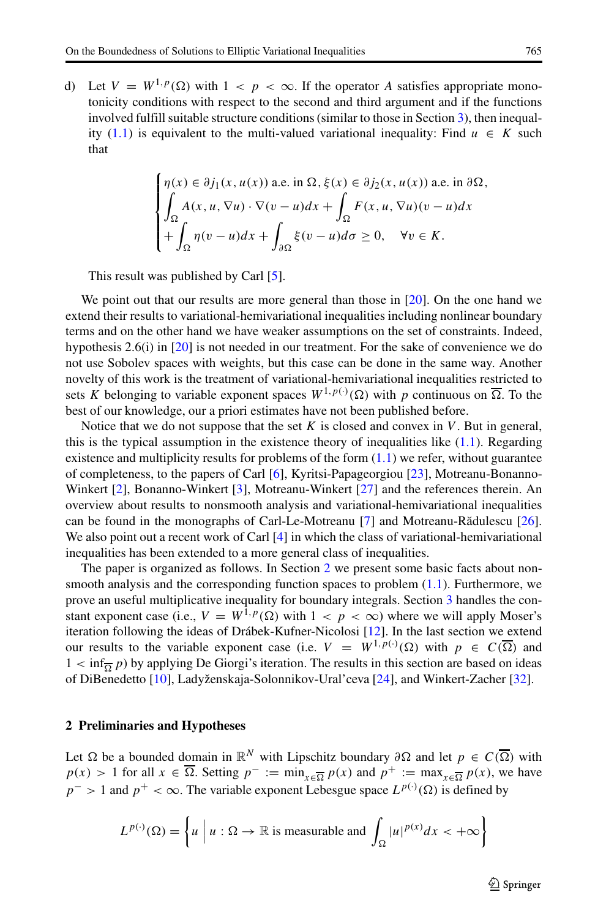d) Let  $V = W^{1,p}(\Omega)$  with  $1 < p < \infty$ . If the operator *A* satisfies appropriate monotonicity conditions with respect to the second and third argument and if the functions involved fulfill suitable structure conditions (similar to those in Section [3\)](#page-5-0), then inequal-ity [\(1.1\)](#page-0-0) is equivalent to the multi-valued variational inequality: Find  $u \in K$  such that

$$
\begin{cases}\n\eta(x) \in \partial j_1(x, u(x)) \text{ a.e. in } \Omega, \xi(x) \in \partial j_2(x, u(x)) \text{ a.e. in } \partial \Omega, \\
\int_{\Omega} A(x, u, \nabla u) \cdot \nabla (v - u) dx + \int_{\Omega} F(x, u, \nabla u) (v - u) dx \\
+\int_{\Omega} \eta(v - u) dx + \int_{\partial \Omega} \xi(v - u) d\sigma \ge 0, \quad \forall v \in K.\n\end{cases}
$$

This result was published by Carl [\[5\]](#page-18-8).

We point out that our results are more general than those in [\[20\]](#page-18-4). On the one hand we extend their results to variational-hemivariational inequalities including nonlinear boundary terms and on the other hand we have weaker assumptions on the set of constraints. Indeed, hypothesis 2.6(i) in [\[20\]](#page-18-4) is not needed in our treatment. For the sake of convenience we do not use Sobolev spaces with weights, but this case can be done in the same way. Another novelty of this work is the treatment of variational-hemivariational inequalities restricted to sets *K* belonging to variable exponent spaces  $W^{1,p(\cdot)}(\Omega)$  with *p* continuous on  $\overline{\Omega}$ . To the best of our knowledge, our a priori estimates have not been published before.

Notice that we do not suppose that the set *K* is closed and convex in *V* . But in general, this is the typical assumption in the existence theory of inequalities like  $(1.1)$ . Regarding existence and multiplicity results for problems of the form  $(1.1)$  we refer, without guarantee of completeness, to the papers of Carl [\[6\]](#page-18-9), Kyritsi-Papageorgiou [\[23\]](#page-18-10), Motreanu-Bonanno-Winkert [\[2\]](#page-18-11), Bonanno-Winkert [\[3\]](#page-18-12), Motreanu-Winkert [\[27\]](#page-18-13) and the references therein. An overview about results to nonsmooth analysis and variational-hemivariational inequalities can be found in the monographs of Carl-Le-Motreanu [\[7\]](#page-18-14) and Motreanu-Rădulescu [\[26\]](#page-18-15). We also point out a recent work of Carl [\[4\]](#page-18-16) in which the class of variational-hemivariational inequalities has been extended to a more general class of inequalities.

The paper is organized as follows. In Section [2](#page-2-0) we present some basic facts about nonsmooth analysis and the corresponding function spaces to problem  $(1.1)$ . Furthermore, we prove an useful multiplicative inequality for boundary integrals. Section [3](#page-5-0) handles the constant exponent case (i.e.,  $V = W^{\hat{1}, p}(\Omega)$  with  $1 < p < \infty$ ) where we will apply Moser's iteration following the ideas of Drábek-Kufner-Nicolosi [\[12\]](#page-18-17). In the last section we extend our results to the variable exponent case (i.e.  $V = W^{1,p(\cdot)}(\Omega)$  with  $p \in C(\overline{\Omega})$  and  $1 < \inf_{\overline{\Omega}} p$ ) by applying De Giorgi's iteration. The results in this section are based on ideas of DiBenedetto [\[10\]](#page-18-18), Ladyženskaja-Solonnikov-Ural'ceva [\[24\]](#page-18-19), and Winkert-Zacher [\[32\]](#page-18-0).

#### <span id="page-2-0"></span>**2 Preliminaries and Hypotheses**

Let  $\Omega$  be a bounded domain in  $\mathbb{R}^N$  with Lipschitz boundary  $\partial \Omega$  and let  $p \in C(\overline{\Omega})$  with  $p(x) > 1$  for all  $x \in \overline{\Omega}$ . Setting  $p^- := \min_{x \in \overline{\Omega}} p(x)$  and  $p^+ := \max_{x \in \overline{\Omega}} p(x)$ , we have  $p^{-}$  > 1 and  $p^{+}$  <  $\infty$ . The variable exponent Lebesgue space  $L^{p(\cdot)}(\Omega)$  is defined by

$$
L^{p(\cdot)}(\Omega) = \left\{ u \mid u : \Omega \to \mathbb{R} \text{ is measurable and } \int_{\Omega} |u|^{p(x)} dx < +\infty \right\}
$$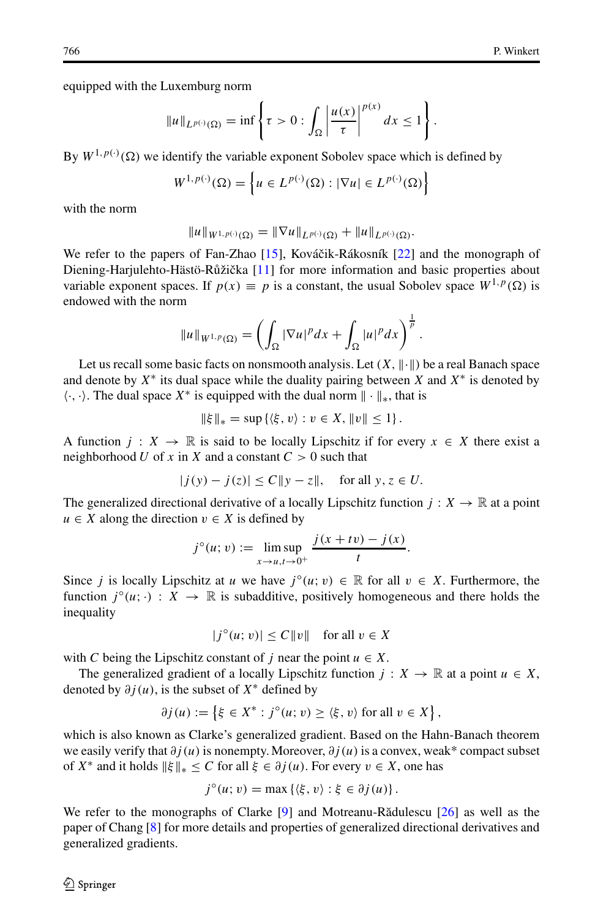equipped with the Luxemburg norm

$$
||u||_{L^{p(\cdot)}(\Omega)} = \inf \left\{ \tau > 0 : \int_{\Omega} \left| \frac{u(x)}{\tau} \right|^{p(x)} dx \le 1 \right\}.
$$

By  $W^{1,p(\cdot)}(\Omega)$  we identify the variable exponent Sobolev space which is defined by

$$
W^{1,p(\cdot)}(\Omega) = \left\{ u \in L^{p(\cdot)}(\Omega) : |\nabla u| \in L^{p(\cdot)}(\Omega) \right\}
$$

with the norm

$$
||u||_{W^{1,p(\cdot)}(\Omega)} = ||\nabla u||_{L^{p(\cdot)}(\Omega)} + ||u||_{L^{p(\cdot)}(\Omega)}.
$$

We refer to the papers of Fan-Zhao  $[15]$ , Kováčik-Rákosník  $[22]$  and the monograph of Diening-Harjulehto-Hästö-Růžička [\[11\]](#page-18-22) for more information and basic properties about variable exponent spaces. If  $p(x) \equiv p$  is a constant, the usual Sobolev space  $W^{1,p}(\Omega)$  is endowed with the norm

$$
||u||_{W^{1,p}(\Omega)} = \left(\int_{\Omega} |\nabla u|^p dx + \int_{\Omega} |u|^p dx\right)^{\frac{1}{p}}.
$$

Let us recall some basic facts on nonsmooth analysis. Let  $(X, \|\cdot\|)$  be a real Banach space and denote by  $X^*$  its dual space while the duality pairing between  $X$  and  $X^*$  is denoted by  $\langle \cdot, \cdot \rangle$ . The dual space  $X^*$  is equipped with the dual norm  $\|\cdot\|_*$ , that is

$$
\|\xi\|_* = \sup \{ \langle \xi, v \rangle : v \in X, ||v|| \le 1 \}.
$$

A function  $j: X \to \mathbb{R}$  is said to be locally Lipschitz if for every  $x \in X$  there exist a neighborhood *U* of *x* in *X* and a constant  $C > 0$  such that

$$
|j(y) - j(z)| \le C \|y - z\|, \quad \text{for all } y, z \in U.
$$

The generalized directional derivative of a locally Lipschitz function  $j : X \to \mathbb{R}$  at a point *u* ∈ *X* along the direction  $v$  ∈ *X* is defined by

$$
j^{\circ}(u; v) := \limsup_{x \to u, t \to 0^+} \frac{j(x + tv) - j(x)}{t}.
$$

Since *j* is locally Lipschitz at *u* we have  $j^{\circ}(u; v) \in \mathbb{R}$  for all  $v \in X$ . Furthermore, the function  $j^{\circ}(u; \cdot) : X \to \mathbb{R}$  is subadditive, positively homogeneous and there holds the inequality

$$
|j^{\circ}(u; v)| \le C ||v|| \quad \text{for all } v \in X
$$

with *C* being the Lipschitz constant of *j* near the point  $u \in X$ .

The generalized gradient of a locally Lipschitz function  $j : X \to \mathbb{R}$  at a point  $u \in X$ , denoted by *∂j (u)*, is the subset of *X*<sup>∗</sup> defined by

$$
\partial j(u) := \left\{ \xi \in X^* : j^{\circ}(u; v) \ge \langle \xi, v \rangle \text{ for all } v \in X \right\},\
$$

which is also known as Clarke's generalized gradient. Based on the Hahn-Banach theorem we easily verify that *∂j (u)* is nonempty. Moreover, *∂j (u)* is a convex, weak\* compact subset of  $X^*$  and it holds  $\|\xi\|_* \leq C$  for all  $\xi \in \partial j(u)$ . For every  $v \in X$ , one has

$$
j^{\circ}(u; v) = \max \left\{ \langle \xi, v \rangle : \xi \in \partial j(u) \right\}.
$$

We refer to the monographs of Clarke [\[9\]](#page-18-23) and Motreanu-Rădulescu [\[26\]](#page-18-15) as well as the paper of Chang [\[8\]](#page-18-24) for more details and properties of generalized directional derivatives and generalized gradients.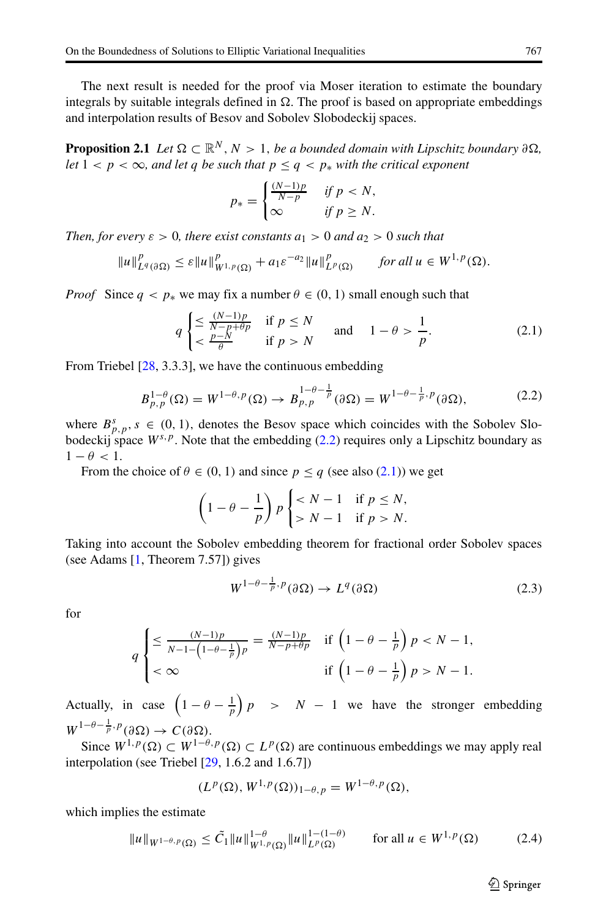The next result is needed for the proof via Moser iteration to estimate the boundary integrals by suitable integrals defined in  $\Omega$ . The proof is based on appropriate embeddings and interpolation results of Besov and Sobolev Slobodeckij spaces.

**Proposition 2.1** *Let*  $\Omega \subset \mathbb{R}^N$ ,  $N > 1$ , *be a bounded domain with Lipschitz boundary*  $\partial \Omega$ , *let*  $1 < p < \infty$ *, and let q be such that*  $p \leq q < p_*$  *with the critical exponent* 

<span id="page-4-1"></span>
$$
p_* = \begin{cases} \frac{(N-1)p}{N-p} & \text{if } p < N, \\ \infty & \text{if } p \ge N. \end{cases}
$$

*Then, for every*  $\varepsilon > 0$ *, there exist constants*  $a_1 > 0$  *and*  $a_2 > 0$  *such that* 

$$
||u||_{L^{q}(\partial\Omega)}^{p} \leq \varepsilon ||u||_{W^{1,p}(\Omega)}^{p} + a_1 \varepsilon^{-a_2} ||u||_{L^{p}(\Omega)}^{p} \quad \text{for all } u \in W^{1,p}(\Omega).
$$

*Proof* Since  $q < p_*$  we may fix a number  $\theta \in (0, 1)$  small enough such that

$$
q \begin{cases} \leq \frac{(N-1)p}{N-p+\theta p} & \text{if } p \leq N \\ < \frac{p-N}{\theta} & \text{if } p > N \end{cases} \text{ and } 1 - \theta > \frac{1}{p}.
$$
 (2.1)

From Triebel [\[28,](#page-18-25) 3.3.3], we have the continuous embedding

$$
B_{p,p}^{1-\theta}(\Omega) = W^{1-\theta,p}(\Omega) \to B_{p,p}^{1-\theta-\frac{1}{p}}(\partial \Omega) = W^{1-\theta-\frac{1}{p},p}(\partial \Omega),\tag{2.2}
$$

where  $B_{p,p}^s$ ,  $s \in (0, 1)$ , denotes the Besov space which coincides with the Sobolev Slobodeckij space  $W^{s,p}$ . Note that the embedding  $(2.2)$  requires only a Lipschitz boundary as  $1 - \theta < 1$ .

From the choice of  $\theta \in (0, 1)$  and since  $p \le q$  (see also [\(2.1\)](#page-4-1)) we get

<span id="page-4-0"></span>
$$
\left(1 - \theta - \frac{1}{p}\right) p \begin{cases} < N - 1 & \text{if } p \le N, \\ > N - 1 & \text{if } p > N. \end{cases}
$$

Taking into account the Sobolev embedding theorem for fractional order Sobolev spaces (see Adams [\[1,](#page-17-0) Theorem 7.57]) gives

$$
W^{1-\theta-\frac{1}{p},p}(\partial\Omega)\to L^q(\partial\Omega)
$$
\n(2.3)

for

$$
q\begin{cases} \leq \frac{(N-1)p}{N-1-\left(1-\theta-\frac{1}{p}\right)p} = \frac{(N-1)p}{N-p+\theta p} & \text{if } \left(1-\theta-\frac{1}{p}\right)p < N-1, \\ < \infty & \text{if } \left(1-\theta-\frac{1}{p}\right)p > N-1. \end{cases}
$$

Actually, in case  $\left(1 - \theta - \frac{1}{p}\right)p > N - 1$  we have the stronger embedding  $W^{1-\theta-\frac{1}{p},p}(\partial\Omega)\to C(\partial\Omega).$ 

Since  $W^{1,p}(\Omega) \subset W^{1-\theta,p}(\Omega) \subset L^p(\Omega)$  are continuous embeddings we may apply real interpolation (see Triebel [\[29,](#page-18-26) 1.6.2 and 1.6.7])

<span id="page-4-2"></span>
$$
(L^p(\Omega),W^{1,p}(\Omega))_{1-\theta,p}=W^{1-\theta,p}(\Omega),
$$

which implies the estimate

$$
||u||_{W^{1-\theta,p}(\Omega)} \le \tilde{C}_1 ||u||_{W^{1,p}(\Omega)}^{1-\theta} ||u||_{L^p(\Omega)}^{1-(1-\theta)} \qquad \text{for all } u \in W^{1,p}(\Omega) \tag{2.4}
$$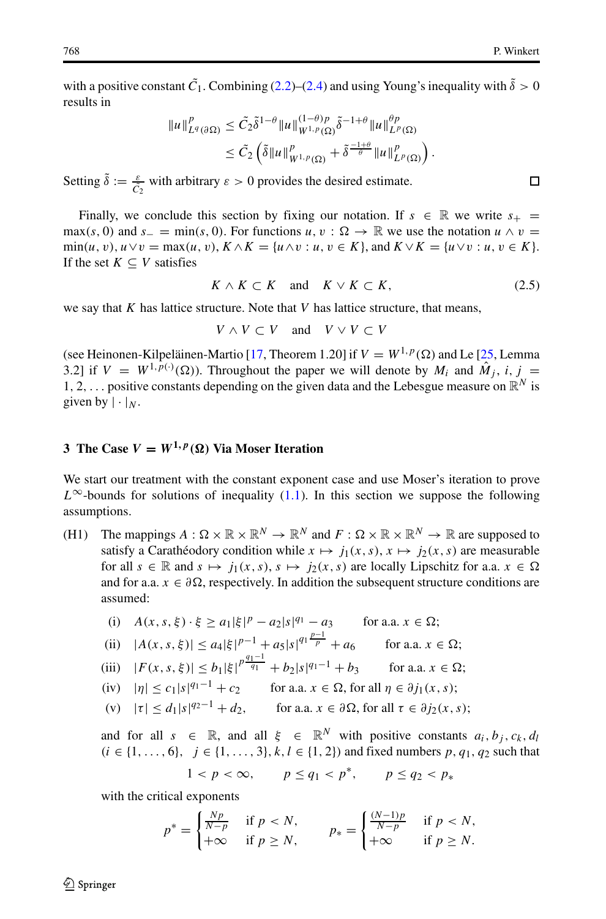with a positive constant  $\tilde{C}_1$ . Combining [\(2.2\)](#page-4-0)–[\(2.4\)](#page-4-2) and using Young's inequality with  $\tilde{\delta} > 0$ results in

$$
\begin{aligned} \|u\|_{L^q(\partial\Omega)}^p&\leq \tilde{C}_2\tilde{\delta}^{1-\theta}\|u\|_{W^{1,p}(\Omega)}^{(1-\theta)p}\tilde{\delta}^{-1+\theta}\|u\|_{L^p(\Omega)}^{\theta p}\\ &\leq \tilde{C}_2\left(\tilde{\delta}\|u\|_{W^{1,p}(\Omega)}^p+\tilde{\delta}^{\frac{-1+\theta}{\theta}}\|u\|_{L^p(\Omega)}^p\right). \end{aligned}
$$

Setting  $\tilde{\delta} := \frac{\varepsilon}{\tilde{C}_2}$  with arbitrary  $\varepsilon > 0$  provides the desired estimate. 2

Finally, we conclude this section by fixing our notation. If  $s \in \mathbb{R}$  we write  $s_+$ max(s, 0) and  $s_−$  = min(s, 0). For functions  $u, v : \Omega \to \mathbb{R}$  we use the notation  $u \wedge v =$  $\min(u, v), u \vee v = \max(u, v), K \wedge K = \{u \wedge v : u, v \in K\},\$ and  $K \vee K = \{u \vee v : u, v \in K\}.$ If the set  $K \subseteq V$  satisfies

$$
K \wedge K \subset K \quad \text{and} \quad K \vee K \subset K,\tag{2.5}
$$

we say that *K* has lattice structure. Note that *V* has lattice structure, that means,

$$
V \wedge V \subset V \quad \text{and} \quad V \vee V \subset V
$$

(see Heinonen-Kilpeläinen-Martio [\[17,](#page-18-27) Theorem 1.20] if  $V = W^{1,p}(\Omega)$  and Le [\[25,](#page-18-28) Lemma 3.2] if  $V = W^{1,p(\cdot)}(\Omega)$ . Throughout the paper we will denote by  $M_i$  and  $\hat{M}_j$ ,  $i, j =$ 1, 2,  $\dots$  positive constants depending on the given data and the Lebesgue measure on  $\mathbb{R}^N$  is given by  $|\cdot|_N$ .

## <span id="page-5-0"></span>**3** The Case  $V = W^{1,p}(\Omega)$  Via Moser Iteration

We start our treatment with the constant exponent case and use Moser's iteration to prove  $L^{\infty}$ -bounds for solutions of inequality [\(1.1\)](#page-0-0). In this section we suppose the following assumptions.

(H1) The mappings  $A: \Omega \times \mathbb{R} \times \mathbb{R}^N \to \mathbb{R}^N$  and  $F: \Omega \times \mathbb{R} \times \mathbb{R}^N \to \mathbb{R}$  are supposed to satisfy a Carathéodory condition while  $x \mapsto j_1(x, s)$ ,  $x \mapsto j_2(x, s)$  are measurable for all  $s \in \mathbb{R}$  and  $s \mapsto j_1(x, s)$ ,  $s \mapsto j_2(x, s)$  are locally Lipschitz for a.a.  $x \in \Omega$ and for a.a.  $x \in \partial \Omega$ , respectively. In addition the subsequent structure conditions are assumed:

(i) 
$$
A(x, s, \xi) \cdot \xi \ge a_1 |\xi|^p - a_2 |s|^{q_1} - a_3
$$
 for a.a.  $x \in \Omega$ ;

(ii) 
$$
|A(x, s, \xi)| \le a_4 |\xi|^{p-1} + a_5 |s|^{q_1 \frac{p-1}{p}} + a_6
$$
 for a.a.  $x \in \Omega$ ;

(iii) 
$$
|F(x, s, \xi)| \le b_1 |\xi|^{p \frac{q_1}{q_1}} + b_2 |s|^{q_1 - 1} + b_3
$$
 for a.a.  $x \in \Omega$ ;

$$
(iv) \quad |\eta| \le c_1 |s|^{q_1 - 1} + c_2 \qquad \text{for a.a. } x \in \Omega \text{, for all } \eta \in \partial j_1(x, s);
$$

(v) 
$$
|\tau| \le d_1 |s|^{q_2 - 1} + d_2
$$
, for a.a.  $x \in \partial \Omega$ , for all  $\tau \in \partial j_2(x, s)$ ;

and for all  $s \in \mathbb{R}$ , and all  $\xi \in \mathbb{R}^N$  with positive constants  $a_i, b_i, c_k, d_l$ *(i* ∈ {1, ..., 6}, *j* ∈ {1, ..., 3}, *k*, *l* ∈ {1, 2}) and fixed numbers *p*, *q*<sub>1</sub>, *q*<sub>2</sub> such that

$$
1 < p < \infty, \qquad p \le q_1 < p^*, \qquad p \le q_2 < p_*
$$

with the critical exponents

$$
p^* = \begin{cases} \frac{Np}{N-p} & \text{if } p < N, \\ +\infty & \text{if } p \ge N, \end{cases} \qquad p_* = \begin{cases} \frac{(N-1)p}{N-p} & \text{if } p < N, \\ +\infty & \text{if } p \ge N. \end{cases}
$$

<span id="page-5-1"></span> $\Box$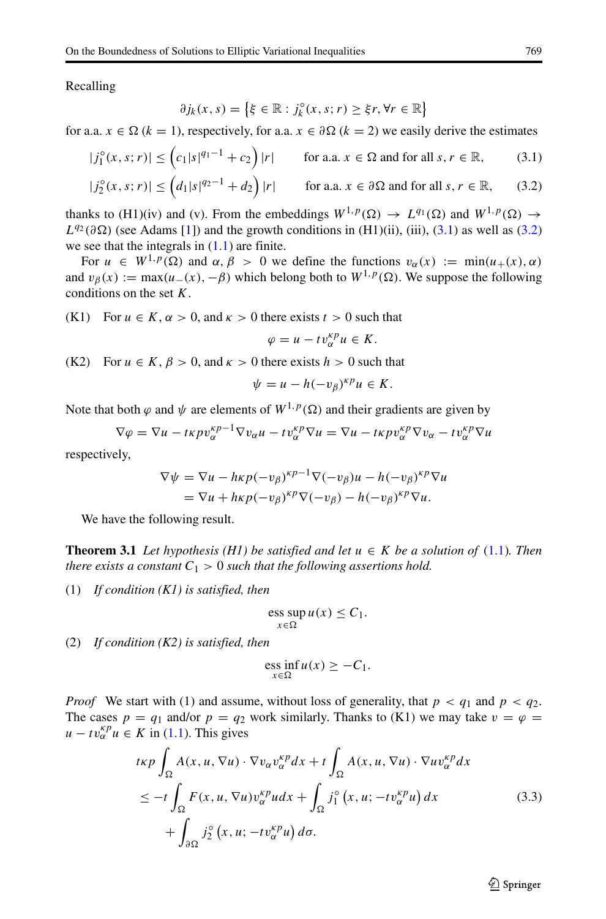Recalling

$$
\partial j_k(x,s) = \left\{ \xi \in \mathbb{R} : j_k^{\circ}(x,s;r) \geq \xi r, \forall r \in \mathbb{R} \right\}
$$

for a.a.  $x \in \Omega$  ( $k = 1$ ), respectively, for a.a.  $x \in \partial \Omega$  ( $k = 2$ ) we easily derive the estimates

$$
|j_1^{\circ}(x, s; r)| \leq (c_1|s|^{q_1 - 1} + c_2) |r| \qquad \text{for a.a. } x \in \Omega \text{ and for all } s, r \in \mathbb{R}, \tag{3.1}
$$

$$
|j_2^{\circ}(x,s;r)| \le \left(d_1|s|^{q_2-1} + d_2\right)|r| \qquad \text{for a.a. } x \in \partial\Omega \text{ and for all } s, r \in \mathbb{R},\qquad(3.2)
$$

thanks to (H1)(iv) and (v). From the embeddings  $W^{1,p}(\Omega) \to L^{q_1}(\Omega)$  and  $W^{1,p}(\Omega) \to$  $L^{q_2}(\partial \Omega)$  (see Adams [\[1\]](#page-17-0)) and the growth conditions in (H1)(ii), (iii), [\(3.1\)](#page-6-0) as well as [\(3.2\)](#page-6-1) we see that the integrals in [\(1.1\)](#page-0-0) are finite.

For  $u \in W^{1,p}(\Omega)$  and  $\alpha, \beta > 0$  we define the functions  $v_\alpha(x) := \min(u_+(x), \alpha)$ and  $v_\beta(x) := \max(u_-(x), -\beta)$  which belong both to  $W^{1,p}(\Omega)$ . We suppose the following conditions on the set *K*.

(K1) For  $u \in K$ ,  $\alpha > 0$ , and  $\kappa > 0$  there exists  $t > 0$  such that

<span id="page-6-1"></span><span id="page-6-0"></span>
$$
\varphi = u - tv_{\alpha}^{\kappa p} u \in K.
$$

(K2) For  $u \in K$ ,  $\beta > 0$ , and  $\kappa > 0$  there exists  $h > 0$  such that

$$
\psi = u - h(-v_{\beta})^{\kappa p} u \in K.
$$

Note that both  $\varphi$  and  $\psi$  are elements of  $W^{1,p}(\Omega)$  and their gradients are given by

$$
\nabla \varphi = \nabla u - t \kappa p v_{\alpha}^{\kappa p - 1} \nabla v_{\alpha} u - t v_{\alpha}^{\kappa p} \nabla u = \nabla u - t \kappa p v_{\alpha}^{\kappa p} \nabla v_{\alpha} - t v_{\alpha}^{\kappa p} \nabla u
$$

respectively,

$$
\nabla \psi = \nabla u - h\kappa p(-v_\beta)^{\kappa p-1} \nabla (-v_\beta)u - h(-v_\beta)^{\kappa p} \nabla u
$$
  
= 
$$
\nabla u + h\kappa p(-v_\beta)^{\kappa p} \nabla (-v_\beta) - h(-v_\beta)^{\kappa p} \nabla u.
$$

We have the following result.

**Theorem 3.1** *Let hypothesis (H1) be satisfied and let*  $u \in K$  *be a solution of* [\(1.1\)](#page-0-0)*. Then there exists a constant*  $C_1 > 0$  *such that the following assertions hold.* 

(1) *If condition (K1) is satisfied, then*

$$
\operatorname{ess} \sup_{x \in \Omega} u(x) \le C_1.
$$

(2) *If condition (K2) is satisfied, then*

$$
\underset{x \in \Omega}{\text{ess inf}} u(x) \geq -C_1.
$$

*Proof* We start with (1) and assume, without loss of generality, that  $p < q_1$  and  $p < q_2$ . The cases  $p = q_1$  and/or  $p = q_2$  work similarly. Thanks to (K1) we may take  $v = \varphi = \varphi$  $u - tv_{\alpha}^{kp} u \in K$  in [\(1.1\)](#page-0-0). This gives

$$
t\kappa p \int_{\Omega} A(x, u, \nabla u) \cdot \nabla v_{\alpha} v_{\alpha}^{\kappa p} dx + t \int_{\Omega} A(x, u, \nabla u) \cdot \nabla u v_{\alpha}^{\kappa p} dx
$$
  
\n
$$
\leq -t \int_{\Omega} F(x, u, \nabla u) v_{\alpha}^{\kappa p} u dx + \int_{\Omega} j_{1}^{\circ} (x, u; -t v_{\alpha}^{\kappa p} u) dx
$$
  
\n
$$
+ \int_{\partial \Omega} j_{2}^{\circ} (x, u; -t v_{\alpha}^{\kappa p} u) d\sigma.
$$
\n(3.3)

<span id="page-6-2"></span> $\textcircled{2}$  Springer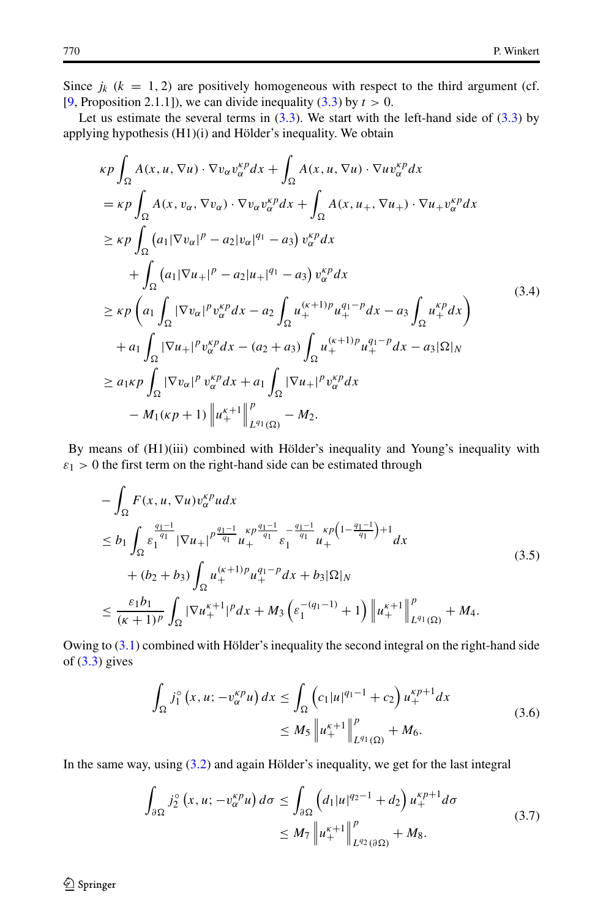Since  $j_k$  ( $k = 1, 2$ ) are positively homogeneous with respect to the third argument (cf. [\[9,](#page-18-23) Proposition 2.1.1]), we can divide inequality [\(3.3\)](#page-6-2) by *t >* 0.

Let us estimate the several terms in  $(3.3)$ . We start with the left-hand side of  $(3.3)$  by applying hypothesis  $(H1)(i)$  and Hölder's inequality. We obtain

$$
\kappa p \int_{\Omega} A(x, u, \nabla u) \cdot \nabla v_{\alpha} v_{\alpha}^{k p} dx + \int_{\Omega} A(x, u, \nabla u) \cdot \nabla u v_{\alpha}^{k p} dx \n= \kappa p \int_{\Omega} A(x, v_{\alpha}, \nabla v_{\alpha}) \cdot \nabla v_{\alpha} v_{\alpha}^{k p} dx + \int_{\Omega} A(x, u_{+}, \nabla u_{+}) \cdot \nabla u_{+} v_{\alpha}^{k p} dx \n\geq \kappa p \int_{\Omega} (a_{1} |\nabla v_{\alpha}|^{p} - a_{2} |v_{\alpha}|^{q_{1}} - a_{3}) v_{\alpha}^{k p} dx \n+ \int_{\Omega} (a_{1} |\nabla u_{+}|^{p} - a_{2} |u_{+}|^{q_{1}} - a_{3}) v_{\alpha}^{k p} dx \n\geq \kappa p \left( a_{1} \int_{\Omega} |\nabla v_{\alpha}|^{p} v_{\alpha}^{k p} dx - a_{2} \int_{\Omega} u_{+}^{(k+1)p} u_{+}^{q_{1}-p} dx - a_{3} \int_{\Omega} u_{+}^{k p} dx \right) \n+ a_{1} \int_{\Omega} |\nabla u_{+}|^{p} v_{\alpha}^{k p} dx - (a_{2} + a_{3}) \int_{\Omega} u_{+}^{(k+1)p} u_{+}^{q_{1}-p} dx - a_{3} |\Omega|_{N} \n\geq a_{1} \kappa p \int_{\Omega} |\nabla v_{\alpha}|^{p} v_{\alpha}^{k p} dx + a_{1} \int_{\Omega} |\nabla u_{+}|^{p} v_{\alpha}^{k p} dx \n- M_{1}(\kappa p + 1) \| u_{+}^{k+1} \|_{L^{q_{1}}(\Omega)}^{p} - M_{2}.
$$
\n(3.4)

By means of (H1)(iii) combined with Hölder's inequality and Young's inequality with  $\varepsilon_1$  > 0 the first term on the right-hand side can be estimated through

$$
-\int_{\Omega} F(x, u, \nabla u) v_{\alpha}^{k} u dx
$$
  
\n
$$
\leq b_1 \int_{\Omega} \frac{q_1 - 1}{\varepsilon_1^{q_1}} |\nabla u_+|^{p \frac{q_1 - 1}{q_1}} u_+^{p \frac{q_1 - 1}{q_1}} \varepsilon_1^{p \frac{q_1 - 1}{q_1}} u_+^{k} u_+^{p (1 - \frac{q_1 - 1}{q_1}) + 1} dx
$$
  
\n
$$
+ (b_2 + b_3) \int_{\Omega} u_+^{(k+1)} u_+^{q_1 - p} dx + b_3 |\Omega|_N
$$
  
\n
$$
\leq \frac{\varepsilon_1 b_1}{(\kappa + 1)^p} \int_{\Omega} |\nabla u_+^{k+1}|^p dx + M_3 \left( \varepsilon_1^{-(q_1 - 1)} + 1 \right) \left\| u_+^{k+1} \right\|_{L^{q_1}(\Omega)}^p + M_4.
$$
\n(3.5)

Owing to  $(3.1)$  combined with Hölder's inequality the second integral on the right-hand side of  $(3.3)$  gives

$$
\int_{\Omega} j_1^{\circ} (x, u; -v_{\alpha}^{k p} u) dx \le \int_{\Omega} \left( c_1 |u|^{q_1 - 1} + c_2 \right) u_+^{k p + 1} dx
$$
\n
$$
\le M_5 \left\| u_+^{k+1} \right\|_{L^{q_1}(\Omega)}^p + M_6.
$$
\n(3.6)

In the same way, using  $(3.2)$  and again Hölder's inequality, we get for the last integral

<span id="page-7-0"></span>
$$
\int_{\partial \Omega} j_2^{\circ} (x, u; -v_{\alpha}^{k} u) d\sigma \le \int_{\partial \Omega} \left( d_1 |u|^{q_2 - 1} + d_2 \right) u_+^{k+1} d\sigma
$$
\n
$$
\le M_7 \left\| u_+^{k+1} \right\|_{L^{q_2}(\partial \Omega)}^p + M_8.
$$
\n(3.7)

2 Springer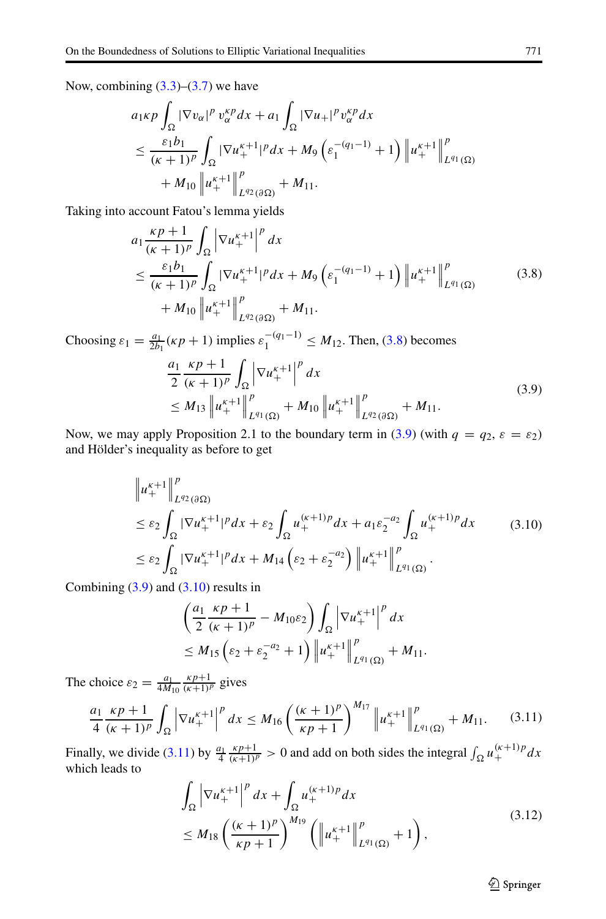Now, combining  $(3.3)$ – $(3.7)$  we have

$$
a_1 \kappa p \int_{\Omega} |\nabla v_{\alpha}|^p v_{\alpha}^{\kappa p} dx + a_1 \int_{\Omega} |\nabla u_+|^p v_{\alpha}^{\kappa p} dx
$$
  
\n
$$
\leq \frac{\varepsilon_1 b_1}{(\kappa + 1)^p} \int_{\Omega} |\nabla u_+^{\kappa + 1}|^p dx + M_9 \left( \varepsilon_1^{-(q_1 - 1)} + 1 \right) \left\| u_+^{\kappa + 1} \right\|_{L^{q_1}(\Omega)}^p
$$
  
\n
$$
+ M_{10} \left\| u_+^{\kappa + 1} \right\|_{L^{q_2}(\partial \Omega)}^p + M_{11}.
$$

Taking into account Fatou's lemma yields

$$
a_1 \frac{\kappa p + 1}{(\kappa + 1)^p} \int_{\Omega} \left| \nabla u_+^{\kappa+1} \right|^p dx
$$
  
\n
$$
\leq \frac{\varepsilon_1 b_1}{(\kappa + 1)^p} \int_{\Omega} |\nabla u_+^{\kappa+1}|^p dx + M_9 \left( \varepsilon_1^{-(q_1 - 1)} + 1 \right) \left| u_+^{\kappa+1} \right|_{L^{q_1}(\Omega)}^p
$$
  
\n
$$
+ M_{10} \left| u_+^{\kappa+1} \right|_{L^{q_2}(\partial \Omega)}^p + M_{11}.
$$
\n(3.8)

Choosing  $ε_1 = \frac{a_1}{2b_1}$  (*κp* + 1) implies  $ε_1^{-(q_1-1)}$  ≤ *M*<sub>12</sub>. Then, [\(3.8\)](#page-8-0) becomes

<span id="page-8-1"></span><span id="page-8-0"></span>
$$
\frac{a_1}{2} \frac{\kappa p + 1}{(\kappa + 1)^p} \int_{\Omega} \left| \nabla u_+^{\kappa+1} \right|^p dx
$$
\n
$$
\leq M_{13} \left\| u_+^{\kappa+1} \right\|_{L^{q_1}(\Omega)}^p + M_{10} \left\| u_+^{\kappa+1} \right\|_{L^{q_2}(\partial \Omega)}^p + M_{11}.
$$
\n(3.9)

Now, we may apply Proposition 2.1 to the boundary term in [\(3.9\)](#page-8-1) (with  $q = q_2, \varepsilon = \varepsilon_2$ ) and Hölder's inequality as before to get

$$
\|u_{+}^{\kappa+1}\|_{L^{q_2}(\partial\Omega)}^p
$$
\n
$$
\leq \varepsilon_2 \int_{\Omega} |\nabla u_{+}^{\kappa+1}|^p dx + \varepsilon_2 \int_{\Omega} u_{+}^{(\kappa+1)p} dx + a_1 \varepsilon_2^{-a_2} \int_{\Omega} u_{+}^{(\kappa+1)p} dx \qquad (3.10)
$$
\n
$$
\leq \varepsilon_2 \int_{\Omega} |\nabla u_{+}^{\kappa+1}|^p dx + M_{14} (\varepsilon_2 + \varepsilon_2^{-a_2}) \|u_{+}^{\kappa+1}\|_{L^{q_1}(\Omega)}^p.
$$

Combining  $(3.9)$  and  $(3.10)$  results in

<span id="page-8-2"></span>
$$
\left(\frac{a_1 \kappa p + 1}{2 \kappa + 1} - M_{10}\varepsilon_2\right) \int_{\Omega} \left|\nabla u_+^{\kappa+1}\right|^p dx
$$
  
\n
$$
\leq M_{15} \left(\varepsilon_2 + \varepsilon_2^{-a_2} + 1\right) \left\|u_+^{\kappa+1}\right\|_{L^{q_1}(\Omega)}^p + M_{11}.
$$

The choice  $\varepsilon_2 = \frac{a_1}{4M_{10}} \frac{\kappa p + 1}{(\kappa + 1)^p}$  gives

$$
\frac{a_1}{4} \frac{\kappa p + 1}{(\kappa + 1)^p} \int_{\Omega} \left| \nabla u_+^{\kappa+1} \right|^p dx \le M_{16} \left( \frac{(\kappa + 1)^p}{\kappa p + 1} \right)^{M_{17}} \left\| u_+^{\kappa+1} \right\|_{L^{q_1}(\Omega)}^p + M_{11}. \tag{3.11}
$$

Finally, we divide [\(3.11\)](#page-8-3) by  $\frac{a_1}{4} \frac{\kappa p + 1}{(\kappa + 1)^p} > 0$  and add on both sides the integral  $\int_{\Omega} u_+^{(\kappa + 1)p} dx$ <br>which leads to

$$
\int_{\Omega} \left| \nabla u_{+}^{\kappa+1} \right|^{p} dx + \int_{\Omega} u_{+}^{(\kappa+1)p} dx \n\leq M_{18} \left( \frac{(\kappa+1)^{p}}{\kappa p+1} \right)^{M_{19}} \left( \left\| u_{+}^{\kappa+1} \right\|_{L^{q_{1}}(\Omega)}^{p} + 1 \right),
$$
\n(3.12)

<span id="page-8-4"></span><span id="page-8-3"></span>**◯** Springer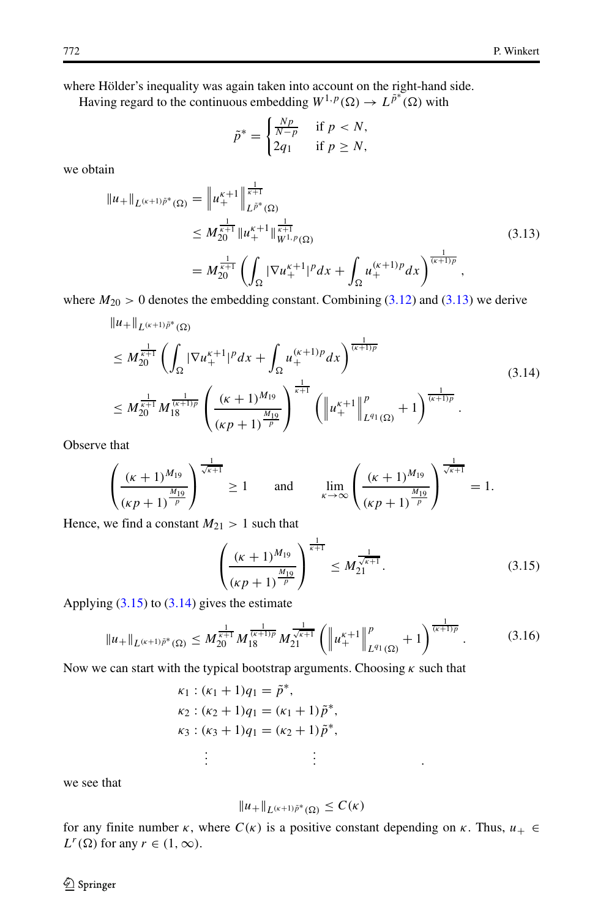where Hölder's inequality was again taken into account on the right-hand side.

Having regard to the continuous embedding  $W^{1,p}(\Omega) \to L^{\tilde{p}^*}(\Omega)$  with

<span id="page-9-0"></span>
$$
\tilde{p}^* = \begin{cases} \frac{Np}{N-p} & \text{if } p < N, \\ 2q_1 & \text{if } p \ge N, \end{cases}
$$

we obtain

$$
||u_{+}||_{L^{(\kappa+1)\tilde{p}^{*}}(\Omega)} = ||u_{+}^{\kappa+1}||_{L^{\tilde{p}^{*}}(\Omega)}^{\frac{1}{\kappa+1}}\n\leq M_{20}^{\frac{1}{\kappa+1}} ||u_{+}^{\kappa+1}||_{W^{1,p}(\Omega)}^{\frac{1}{\kappa+1}}\n= M_{20}^{\frac{1}{\kappa+1}} \left( \int_{\Omega} |\nabla u_{+}^{\kappa+1}|^{p} dx + \int_{\Omega} u_{+}^{(\kappa+1)p} dx \right)^{\frac{1}{(\kappa+1)p}},
$$
\n(3.13)

where  $M_{20} > 0$  denotes the embedding constant. Combining [\(3.12\)](#page-8-4) and [\(3.13\)](#page-9-0) we derive

$$
||u+||_{L^{(\kappa+1)\tilde{p}^{*}}(\Omega)}
$$
\n
$$
\leq M_{20}^{\frac{1}{\kappa+1}} \left( \int_{\Omega} |\nabla u_{+}^{\kappa+1}|^{p} dx + \int_{\Omega} u_{+}^{(\kappa+1)p} dx \right)^{\frac{1}{(\kappa+1)p}}
$$
\n
$$
\leq M_{20}^{\frac{1}{\kappa+1}} M_{18}^{\frac{1}{(\kappa+1)p}} \left( \frac{(\kappa+1)^{M_{19}}}{(\kappa p+1)^{\frac{M_{19}}{p}}} \right)^{\frac{1}{\kappa+1}} \left( \left\| u_{+}^{\kappa+1} \right\|_{L^{q_{1}}(\Omega)}^{p} + 1 \right)^{\frac{1}{(\kappa+1)p}}.
$$
\n(3.14)

Observe that

$$
\left(\frac{(\kappa+1)^{M_{19}}}{(\kappa p+1)^{\frac{M_{19}}{p}}}\right)^{\frac{1}{\sqrt{\kappa+1}}} \ge 1 \quad \text{and} \quad \lim_{\kappa \to \infty} \left(\frac{(\kappa+1)^{M_{19}}}{(\kappa p+1)^{\frac{M_{19}}{p}}}\right)^{\frac{1}{\sqrt{\kappa+1}}} = 1.
$$

Hence, we find a constant  $M_{21} > 1$  such that

<span id="page-9-2"></span>
$$
\left(\frac{(\kappa+1)^{M_{19}}}{(\kappa p+1)^{\frac{M_{19}}{p}}}\right)^{\frac{1}{\kappa+1}} \le M_{21}^{\frac{1}{\sqrt{\kappa+1}}}.
$$
\n(3.15)

<span id="page-9-3"></span><span id="page-9-1"></span>*. .*

Applying  $(3.15)$  to  $(3.14)$  gives the estimate

$$
\|u_{+}\|_{L^{(\kappa+1)\tilde{p}^{*}}(\Omega)} \leq M_{20}^{\frac{1}{\kappa+1}} M_{18}^{\frac{1}{(\kappa+1)p}} M_{21}^{\frac{1}{\sqrt{\kappa+1}}} \left( \left\| u_{+}^{\kappa+1} \right\|_{L^{q_1}(\Omega)}^p + 1 \right)^{\frac{1}{(\kappa+1)p}}.
$$
 (3.16)

Now we can start with the typical bootstrap arguments. Choosing *κ* such that

$$
\kappa_1: (\kappa_1 + 1)q_1 = \tilde{p}^*,
$$
  
\n
$$
\kappa_2: (\kappa_2 + 1)q_1 = (\kappa_1 + 1)\tilde{p}^*,
$$
  
\n
$$
\kappa_3: (\kappa_3 + 1)q_1 = (\kappa_2 + 1)\tilde{p}^*,
$$
  
\n
$$
\vdots
$$

we see that

$$
||u_+||_{L^{(\kappa+1)\tilde p^*}(\Omega)} \leq C(\kappa)
$$

*.*

for any finite number  $\kappa$ , where  $C(\kappa)$  is a positive constant depending on  $\kappa$ . Thus,  $u_+ \in$  $L^r(\Omega)$  for any  $r \in (1, \infty)$ .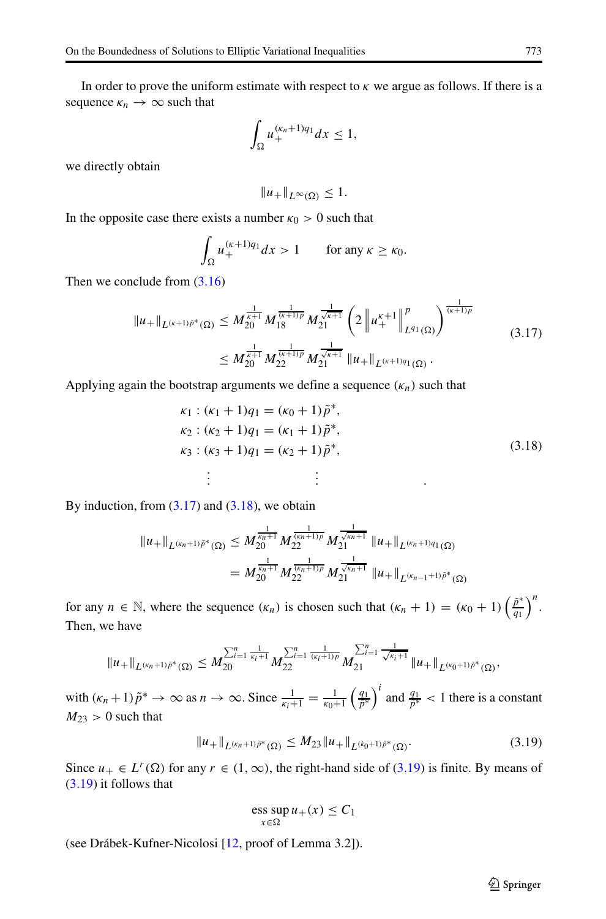In order to prove the uniform estimate with respect to *κ* we argue as follows. If there is a sequence  $\kappa_n \to \infty$  such that

$$
\int_{\Omega} u_{+}^{(\kappa_n+1)q_1} dx \le 1,
$$

we directly obtain

<span id="page-10-0"></span>
$$
||u_+||_{L^{\infty}(\Omega)} \leq 1.
$$

In the opposite case there exists a number  $\kappa_0 > 0$  such that

$$
\int_{\Omega} u_{+}^{(\kappa+1)q_1} dx > 1 \qquad \text{for any } \kappa \geq \kappa_0.
$$

Then we conclude from  $(3.16)$ 

$$
||u_{+}||_{L^{(\kappa+1)\tilde{p}^{*}}(\Omega)} \leq M_{20}^{\frac{1}{\kappa+1}} M_{18}^{\frac{1}{(\kappa+1)p}} M_{21}^{\frac{1}{\sqrt{\kappa+1}}} \left(2 \left\| u_{+}^{\kappa+1} \right\|_{L^{q_1}(\Omega)}^p \right)^{\frac{1}{(\kappa+1)p}} \n\leq M_{20}^{\frac{1}{\kappa+1}} M_{22}^{\frac{1}{(\kappa+1)p}} M_{21}^{\frac{1}{\sqrt{\kappa+1}}} ||u_{+}||_{L^{(\kappa+1)q_1}(\Omega)}.
$$
\n(3.17)

Applying again the bootstrap arguments we define a sequence  $(\kappa_n)$  such that

<span id="page-10-1"></span>
$$
\kappa_1: (\kappa_1 + 1)q_1 = (\kappa_0 + 1)\tilde{p}^*,
$$
  
\n
$$
\kappa_2: (\kappa_2 + 1)q_1 = (\kappa_1 + 1)\tilde{p}^*,
$$
  
\n
$$
\kappa_3: (\kappa_3 + 1)q_1 = (\kappa_2 + 1)\tilde{p}^*,
$$
  
\n
$$
\vdots \qquad \vdots
$$
  
\n(3.18)

By induction, from  $(3.17)$  and  $(3.18)$ , we obtain

$$
||u_{+}||_{L^{(\kappa_{n}+1)\tilde{p}^{*}}(\Omega)} \leq M_{20}^{\frac{1}{\kappa_{n}+1}} M_{22}^{\frac{1}{(\kappa_{n}+1)p}} M_{21}^{\frac{1}{\sqrt{\kappa_{n}+1}}} ||u_{+}||_{L^{(\kappa_{n}+1)q_{1}}(\Omega)}
$$
  
= 
$$
M_{20}^{\frac{1}{\kappa_{n}+1}} M_{22}^{\frac{1}{(\kappa_{n}+1)p}} M_{21}^{\frac{1}{\sqrt{\kappa_{n}+1}}} ||u_{+}||_{L^{(\kappa_{n-1}+1)\tilde{p}^{*}}(\Omega)}
$$

for any  $n \in \mathbb{N}$ , where the sequence  $(\kappa_n)$  is chosen such that  $(\kappa_n + 1) = (\kappa_0 + 1) \left(\frac{\tilde{p}^*}{q_1}\right)^n$ . Then, we have

$$
\|u_+\|_{L^{(\kappa_n+1)\tilde{p}^*}(\Omega)}\leq M_{20}^{\sum_{i=1}^n\frac{1}{\kappa_i+1}}M_{22}^{\sum_{i=1}^n\frac{1}{(\kappa_i+1)p}}M_{21}^{\sum_{i=1}^n\frac{1}{\sqrt{\kappa_i+1}}}\|u_+\|_{L^{(\kappa_0+1)\tilde{p}^*}(\Omega)},
$$

with  $(\kappa_n + 1)\tilde{p}^* \to \infty$  as  $n \to \infty$ . Since  $\frac{1}{\kappa_i + 1} = \frac{1}{\kappa_0 + 1} \left( \frac{q_1}{\tilde{p}^*} \right)$ *p*˜∗  $\int_0^{\hat{i}}$  and  $\frac{q_1}{\tilde{p}^*}$  < 1 there is a constant  $M_{23} > 0$  such that

$$
||u_{+}||_{L^{(\kappa_{n}+1)\tilde{\rho}^{*}}(\Omega)} \leq M_{23}||u_{+}||_{L^{(\kappa_{0}+1)\tilde{\rho}^{*}}(\Omega)}.
$$
\n(3.19)

Since  $u_+ \in L^r(\Omega)$  for any  $r \in (1, \infty)$ , the right-hand side of [\(3.19\)](#page-10-2) is finite. By means of [\(3.19\)](#page-10-2) it follows that

<span id="page-10-2"></span>
$$
\operatorname{ess} \sup_{x \in \Omega} u_+(x) \le C_1
$$

(see Drábek-Kufner-Nicolosi [\[12,](#page-18-17) proof of Lemma 3.2]).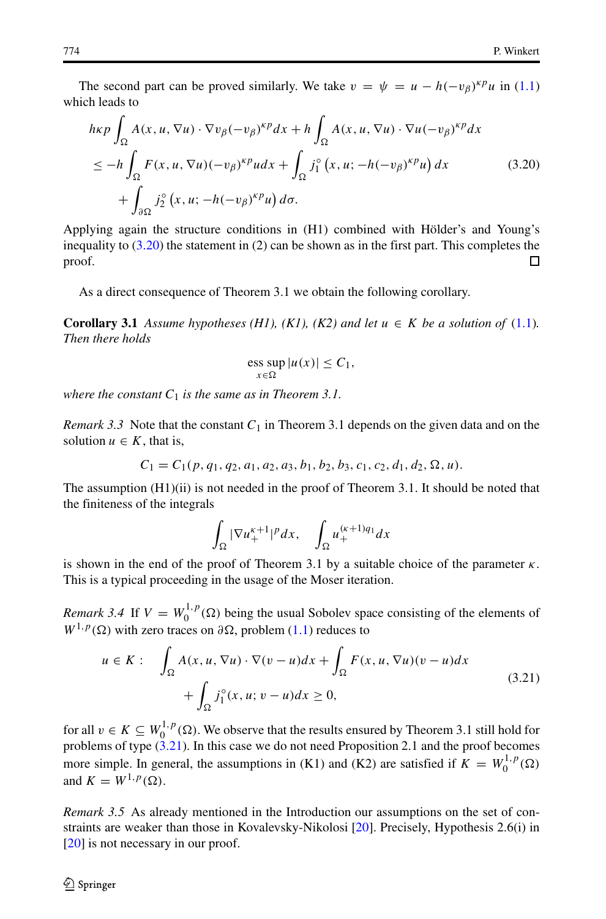The second part can be proved similarly. We take  $v = \psi = u - h(-v_\beta)^{k p} u$  in [\(1.1\)](#page-0-0) which leads to

$$
h\kappa p \int_{\Omega} A(x, u, \nabla u) \cdot \nabla v_{\beta} (-v_{\beta})^{\kappa p} dx + h \int_{\Omega} A(x, u, \nabla u) \cdot \nabla u (-v_{\beta})^{\kappa p} dx
$$
  
\n
$$
\leq -h \int_{\Omega} F(x, u, \nabla u) (-v_{\beta})^{\kappa p} u dx + \int_{\Omega} j_{1}^{\circ} (x, u; -h(-v_{\beta})^{\kappa p} u) dx
$$
 (3.20)  
\n
$$
+ \int_{\partial \Omega} j_{2}^{\circ} (x, u; -h(-v_{\beta})^{\kappa p} u) d\sigma.
$$

Applying again the structure conditions in (H1) combined with Hölder's and Young's inequality to  $(3.20)$  the statement in  $(2)$  can be shown as in the first part. This completes the proof.  $\Box$ 

As a direct consequence of Theorem 3.1 we obtain the following corollary.

**Corollary 3.1** Assume hypotheses (H1), (K1), (K2) and let  $u \in K$  be a solution of [\(1.1\)](#page-0-0). *Then there holds*

<span id="page-11-0"></span>
$$
\operatorname{ess}_{x \in \Omega} \sup |u(x)| \le C_1,
$$

*where the constant*  $C_1$  *is the same as in Theorem 3.1.* 

*Remark 3.3* Note that the constant  $C_1$  in Theorem 3.1 depends on the given data and on the solution  $u \in K$ , that is,

$$
C_1 = C_1(p, q_1, q_2, a_1, a_2, a_3, b_1, b_2, b_3, c_1, c_2, d_1, d_2, \Omega, u).
$$

The assumption  $(H1)(ii)$  is not needed in the proof of Theorem 3.1. It should be noted that the finiteness of the integrals

<span id="page-11-1"></span>
$$
\int_{\Omega} |\nabla u_{+}^{\kappa+1}|^{p} dx, \quad \int_{\Omega} u_{+}^{(\kappa+1)q_{1}} dx
$$

is shown in the end of the proof of Theorem 3.1 by a suitable choice of the parameter  $\kappa$ . This is a typical proceeding in the usage of the Moser iteration.

*Remark 3.4* If  $V = W_0^{1,p}(\Omega)$  being the usual Sobolev space consisting of the elements of  $W^{1,p}(\Omega)$  with zero traces on  $\partial\Omega$ , problem [\(1.1\)](#page-0-0) reduces to

$$
u \in K: \quad \int_{\Omega} A(x, u, \nabla u) \cdot \nabla (v - u) dx + \int_{\Omega} F(x, u, \nabla u) (v - u) dx + \int_{\Omega} j_1^{\circ}(x, u; v - u) dx \ge 0,
$$
\n(3.21)

for all  $v \in K \subseteq W_0^{1,p}(\Omega)$ . We observe that the results ensured by Theorem 3.1 still hold for problems of type [\(3.21](#page-11-1)). In this case we do not need Proposition 2.1 and the proof becomes more simple. In general, the assumptions in (K1) and (K2) are satisfied if  $K = W_0^{1,p}(\Omega)$ and  $K = W^{1,p}(\Omega)$ .

*Remark 3.5* As already mentioned in the Introduction our assumptions on the set of constraints are weaker than those in Kovalevsky-Nikolosi [\[20\]](#page-18-4). Precisely, Hypothesis 2.6(i) in [\[20\]](#page-18-4) is not necessary in our proof.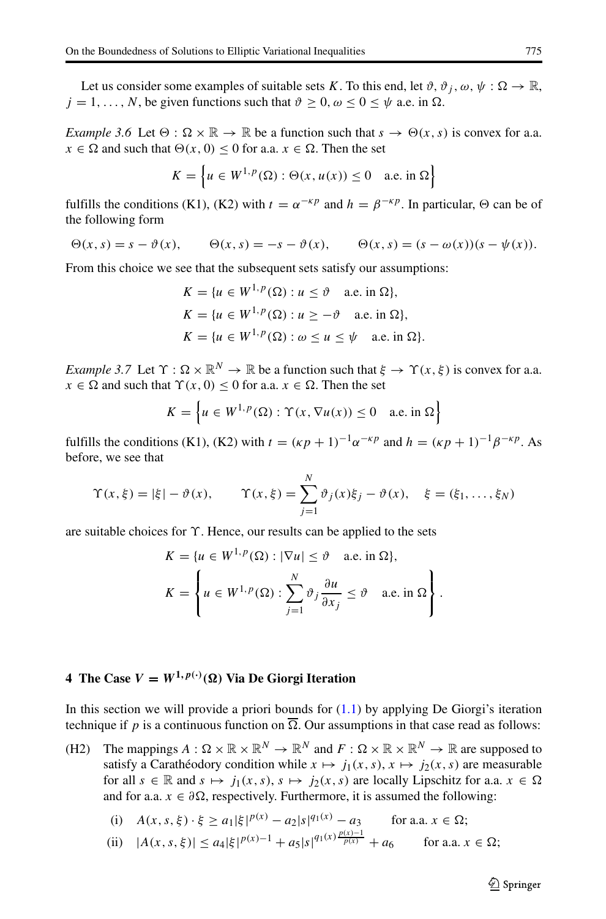Let us consider some examples of suitable sets *K*. To this end, let  $\vartheta$ ,  $\vartheta_j$ ,  $\omega$ ,  $\psi : \Omega \to \mathbb{R}$ ,  $j = 1, \ldots, N$ , be given functions such that  $\vartheta \ge 0, \omega \le 0 \le \psi$  a.e. in  $\Omega$ .

*Example 3.6* Let  $\Theta$  :  $\Omega \times \mathbb{R} \to \mathbb{R}$  be a function such that  $s \to \Theta(x, s)$  is convex for a.a. *x*  $\in \Omega$  and such that  $\Theta(x, 0) \le 0$  for a.a. *x*  $\in \Omega$ . Then the set

$$
K = \left\{ u \in W^{1,p}(\Omega) : \Theta(x, u(x)) \le 0 \quad \text{a.e. in } \Omega \right\}
$$

fulfills the conditions (K1), (K2) with  $t = \alpha^{-k}$  and  $h = \beta^{-k}$ . In particular,  $\Theta$  can be of the following form

$$
\Theta(x,s) = s - \vartheta(x), \qquad \Theta(x,s) = -s - \vartheta(x), \qquad \Theta(x,s) = (s - \omega(x))(s - \psi(x)).
$$

From this choice we see that the subsequent sets satisfy our assumptions:

$$
K = \{u \in W^{1,p}(\Omega) : u \le \vartheta \quad \text{a.e. in } \Omega\},\
$$
  

$$
K = \{u \in W^{1,p}(\Omega) : u \ge -\vartheta \quad \text{a.e. in } \Omega\},\
$$
  

$$
K = \{u \in W^{1,p}(\Omega) : \omega \le u \le \psi \quad \text{a.e. in } \Omega\}.
$$

*Example 3.7* Let  $\Upsilon$  :  $\Omega \times \mathbb{R}^N \to \mathbb{R}$  be a function such that  $\xi \to \Upsilon(x, \xi)$  is convex for a.a. *x*  $\in \Omega$  and such that  $\Upsilon(x, 0) \le 0$  for a.a.  $x \in \Omega$ . Then the set

$$
K = \left\{ u \in W^{1,p}(\Omega) : \Upsilon(x, \nabla u(x)) \le 0 \quad \text{a.e. in } \Omega \right\}
$$

fulfills the conditions (K1), (K2) with  $t = (k p + 1)^{-1} \alpha^{-k p}$  and  $h = (k p + 1)^{-1} \beta^{-k p}$ . As before, we see that

$$
\Upsilon(x,\xi) = |\xi| - \vartheta(x), \qquad \Upsilon(x,\xi) = \sum_{j=1}^{N} \vartheta_j(x)\xi_j - \vartheta(x), \quad \xi = (\xi_1, ..., \xi_N)
$$

are suitable choices for *ϒ*. Hence, our results can be applied to the sets

$$
K = \{u \in W^{1,p}(\Omega) : |\nabla u| \le \vartheta \quad \text{a.e. in } \Omega\},\
$$

$$
K = \left\{u \in W^{1,p}(\Omega) : \sum_{j=1}^{N} \vartheta_j \frac{\partial u}{\partial x_j} \le \vartheta \quad \text{a.e. in } \Omega\right\}.
$$

## <span id="page-12-0"></span>**4** The Case  $V = W^{1, p(\cdot)}(\Omega)$  Via De Giorgi Iteration

In this section we will provide a priori bounds for  $(1.1)$  by applying De Giorgi's iteration technique if p is a continuous function on  $\overline{\Omega}$ . Our assumptions in that case read as follows:

(H2) The mappings  $A: \Omega \times \mathbb{R} \times \mathbb{R}^N \to \mathbb{R}^N$  and  $F: \Omega \times \mathbb{R} \times \mathbb{R}^N \to \mathbb{R}$  are supposed to satisfy a Carathéodory condition while  $x \mapsto j_1(x, s)$ ,  $x \mapsto j_2(x, s)$  are measurable for all  $s \in \mathbb{R}$  and  $s \mapsto j_1(x, s), s \mapsto j_2(x, s)$  are locally Lipschitz for a.a.  $x \in \Omega$ and for a.a.  $x \in \partial \Omega$ , respectively. Furthermore, it is assumed the following:

(i) 
$$
A(x, s, \xi) \cdot \xi \ge a_1 |\xi|^{p(x)} - a_2 |s|^{q_1(x)} - a_3
$$
 for a.a.  $x \in \Omega$ ;

(ii) 
$$
|A(x, s, \xi)| \le a_4 |\xi|^{p(x)-1} + a_5 |s|^{q_1(x) \frac{p(x)-1}{p(x)}} + a_6
$$
 for a.a.  $x \in \Omega$ ;

*<sup>q</sup>*1*(x) p(x)*−<sup>1</sup>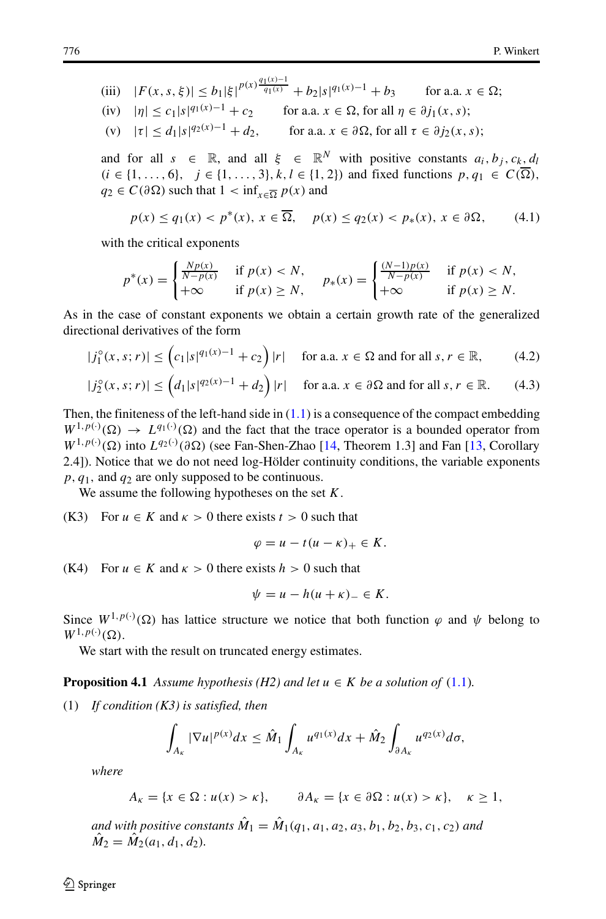(iii) 
$$
|F(x, s, \xi)| \le b_1 |\xi|^{p(x)} \frac{q_1(x) - 1}{q_1(x)} + b_2 |s|^{q_1(x) - 1} + b_3
$$
 for a.a.  $x \in \Omega$ ;  
\n(iv)  $|\eta| \le c_1 |s|^{q_1(x) - 1} + c_2$  for a.a.  $x \in \Omega$ , for all  $\eta \in \partial j_1(x, s)$ ;  
\n(v)  $|\tau| \le d_1 |s|^{q_2(x) - 1} + d_2$ , for a.a.  $x \in \partial \Omega$ , for all  $\tau \in \partial j_2(x, s)$ ;

and for all  $s \in \mathbb{R}$ , and all  $\xi \in \mathbb{R}^N$  with positive constants  $a_i, b_j, c_k, d_l$ *(i* ∈ {1, ..., 6}*, j* ∈ {1, ..., 3}*, k, l* ∈ {1, 2}*)* and fixed functions *p*, *q*<sub>1</sub> ∈  $C(\overline{\Omega})$ *,*  $q_2 \in C(\partial \Omega)$  such that  $1 < \inf_{x \in \overline{\Omega}} p(x)$  and

<span id="page-13-2"></span>
$$
p(x) \le q_1(x) < p^*(x), \ x \in \overline{\Omega}, \quad p(x) \le q_2(x) < p_*(x), \ x \in \partial \Omega,\tag{4.1}
$$

with the critical exponents

$$
p^*(x) = \begin{cases} \frac{Np(x)}{N-p(x)} & \text{if } p(x) < N, \\ +\infty & \text{if } p(x) \ge N, \end{cases} \quad p_*(x) = \begin{cases} \frac{(N-1)p(x)}{N-p(x)} & \text{if } p(x) < N, \\ +\infty & \text{if } p(x) \ge N. \end{cases}
$$

As in the case of constant exponents we obtain a certain growth rate of the generalized directional derivatives of the form

$$
|j_1^{\circ}(x,s;r)| \leq \left(c_1|s|^{q_1(x)-1} + c_2\right)|r| \quad \text{ for a.a. } x \in \Omega \text{ and for all } s, r \in \mathbb{R},\tag{4.2}
$$

$$
|j_2^{\circ}(x,s;r)| \le \left(d_1|s|^{q_2(x)-1} + d_2\right)|r| \quad \text{ for a.a. } x \in \partial\Omega \text{ and for all } s, r \in \mathbb{R}.\tag{4.3}
$$

Then, the finiteness of the left-hand side in  $(1.1)$  is a consequence of the compact embedding  $W^{1,p(\cdot)}(\Omega) \to L^{q_1(\cdot)}(\Omega)$  and the fact that the trace operator is a bounded operator from  $W^{1,p(\cdot)}(\Omega)$  into  $L^{q_2(\cdot)}(\partial\Omega)$  (see Fan-Shen-Zhao [\[14,](#page-18-29) Theorem 1.3] and Fan [\[13,](#page-18-30) Corollary 2.4]). Notice that we do not need log-Hölder continuity conditions, the variable exponents *p, q*1*,* and *q*<sup>2</sup> are only supposed to be continuous.

We assume the following hypotheses on the set *K*.

(K3) For  $u \in K$  and  $\kappa > 0$  there exists  $t > 0$  such that

<span id="page-13-1"></span><span id="page-13-0"></span>
$$
\varphi = u - t(u - \kappa)_+ \in K.
$$

(K4) For  $u \in K$  and  $\kappa > 0$  there exists  $h > 0$  such that

$$
\psi = u - h(u + \kappa)_- \in K.
$$

Since  $W^{1,p(\cdot)}(\Omega)$  has lattice structure we notice that both function  $\varphi$  and  $\psi$  belong to  $W^{1,p(\cdot)}(\Omega)$ .

We start with the result on truncated energy estimates.

**Proposition 4.1** *Assume hypothesis (H2) and let*  $u \in K$  *be a solution of* ([1.1\)](#page-0-0)*.* 

(1) *If condition (K3) is satisfied, then*

$$
\int_{A_{\kappa}}|\nabla u|^{p(x)}dx \leq \hat{M}_1 \int_{A_{\kappa}} u^{q_1(x)}dx + \hat{M}_2 \int_{\partial A_{\kappa}} u^{q_2(x)}d\sigma,
$$

*where*

$$
A_{\kappa} = \{x \in \Omega : u(x) > \kappa\}, \qquad \partial A_{\kappa} = \{x \in \partial \Omega : u(x) > \kappa\}, \quad \kappa \ge 1,
$$

*and with positive constants*  $\hat{M}_1 = \hat{M}_1(q_1, a_1, a_2, a_3, b_1, b_2, b_3, c_1, c_2)$  *and*  $\hat{M}_2 = \hat{M}_2(a_1, d_1, d_2)$ *.*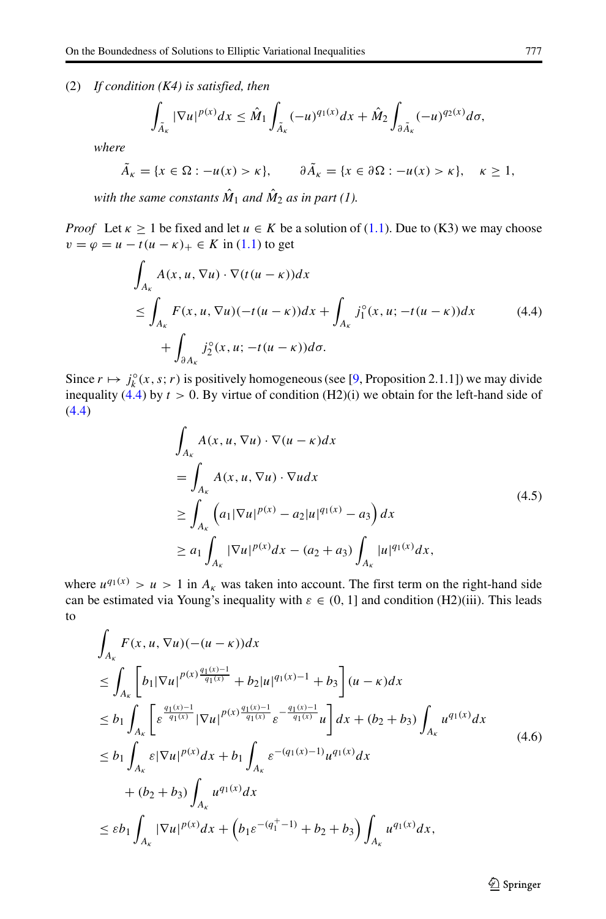(2) *If condition (K4) is satisfied, then*

$$
\int_{\tilde{A}_{\kappa}}|\nabla u|^{p(x)}dx \leq \hat{M}_1 \int_{\tilde{A}_{\kappa}} (-u)^{q_1(x)}dx + \hat{M}_2 \int_{\partial \tilde{A}_{\kappa}} (-u)^{q_2(x)}d\sigma,
$$

*where*

$$
\tilde{A}_{\kappa} = \{x \in \Omega : -u(x) > \kappa\}, \qquad \partial \tilde{A}_{\kappa} = \{x \in \partial \Omega : -u(x) > \kappa\}, \quad \kappa \ge 1,
$$

*with the same constants*  $\hat{M}_1$  *and*  $\hat{M}_2$  *as in part (1).* 

*Proof* Let  $\kappa \ge 1$  be fixed and let  $u \in K$  be a solution of [\(1.1\)](#page-0-0). Due to (K3) we may choose  $v = \varphi = u - t(u - \kappa)_+ \in K$  in [\(1.1\)](#page-0-0) to get

$$
\int_{A_K} A(x, u, \nabla u) \cdot \nabla (t(u - \kappa)) dx
$$
\n
$$
\leq \int_{A_K} F(x, u, \nabla u) (-t(u - \kappa)) dx + \int_{A_K} j_1^{\circ}(x, u; -t(u - \kappa)) dx
$$
\n
$$
+ \int_{\partial A_K} j_2^{\circ}(x, u; -t(u - \kappa)) d\sigma.
$$
\n(4.4)

Since  $r \mapsto j_k^{\circ}(x, s; r)$  is positively homogeneous (see [\[9,](#page-18-23) Proposition 2.1.1]) we may divide inequality  $(4.4)$  by  $t > 0$ . By virtue of condition  $(H2)(i)$  we obtain for the left-hand side of [\(4.4\)](#page-14-0)

<span id="page-14-0"></span>
$$
\int_{A_K} A(x, u, \nabla u) \cdot \nabla (u - \kappa) dx
$$
\n
$$
= \int_{A_K} A(x, u, \nabla u) \cdot \nabla u dx
$$
\n
$$
\geq \int_{A_K} (a_1 |\nabla u|^{p(x)} - a_2 |u|^{q_1(x)} - a_3) dx
$$
\n
$$
\geq a_1 \int_{A_K} |\nabla u|^{p(x)} dx - (a_2 + a_3) \int_{A_K} |u|^{q_1(x)} dx,
$$
\n(4.5)

where  $u^{q_1(x)} > u > 1$  in  $A_k$  was taken into account. The first term on the right-hand side can be estimated via Young's inequality with  $\varepsilon \in (0, 1]$  and condition (H2)(iii). This leads to

$$
\int_{A_{\kappa}} F(x, u, \nabla u) (- (u - \kappa)) dx
$$
\n
$$
\leq \int_{A_{\kappa}} \left[ b_{1} |\nabla u|^{p(x) \frac{q_{1}(x) - 1}{q_{1}(x)}} + b_{2} |u|^{q_{1}(x) - 1} + b_{3} \right] (u - \kappa) dx
$$
\n
$$
\leq b_{1} \int_{A_{\kappa}} \left[ \varepsilon^{\frac{q_{1}(x) - 1}{q_{1}(x)}} |\nabla u|^{p(x) \frac{q_{1}(x) - 1}{q_{1}(x)}} \varepsilon^{-\frac{q_{1}(x) - 1}{q_{1}(x)}} u \right] dx + (b_{2} + b_{3}) \int_{A_{\kappa}} u^{q_{1}(x)} dx
$$
\n
$$
\leq b_{1} \int_{A_{\kappa}} \varepsilon |\nabla u|^{p(x)} dx + b_{1} \int_{A_{\kappa}} \varepsilon^{-(q_{1}(x) - 1)} u^{q_{1}(x)} dx
$$
\n
$$
+ (b_{2} + b_{3}) \int_{A_{\kappa}} u^{q_{1}(x)} dx
$$
\n
$$
\leq \varepsilon b_{1} \int_{A_{\kappa}} |\nabla u|^{p(x)} dx + (b_{1} \varepsilon^{-(q_{1}^{+} - 1)} + b_{2} + b_{3}) \int_{A_{\kappa}} u^{q_{1}(x)} dx,
$$
\n
$$
(4.6)
$$

**◯** Springer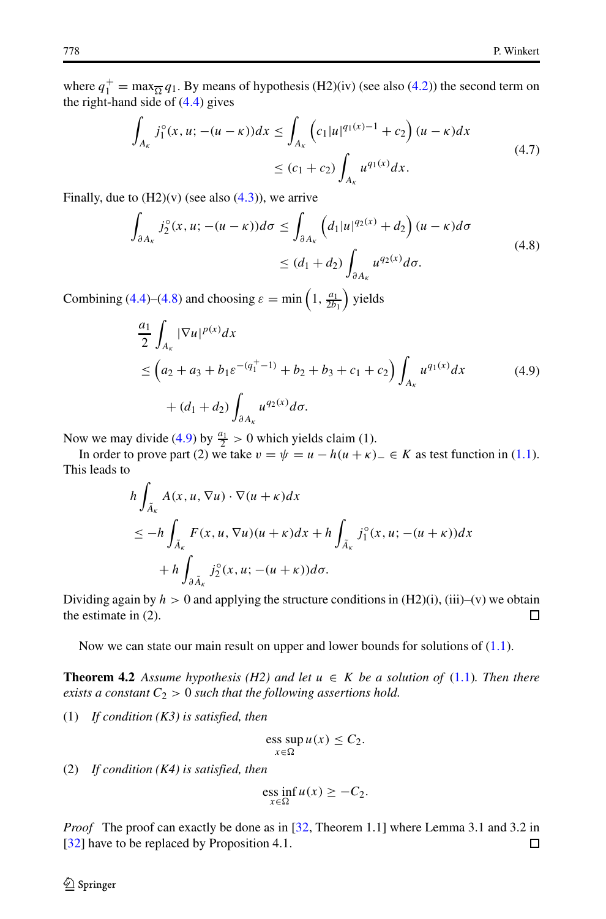where  $q_1^+$  = max $\frac{q_1}{q_2}$ . By means of hypothesis (H2)(iv) (see also [\(4.2\)](#page-13-0)) the second term on the right-hand side of [\(4.4\)](#page-14-0) gives

$$
\int_{A_K} j_1^{\circ}(x, u; -(u - \kappa)) dx \le \int_{A_K} \left( c_1 |u|^{q_1(x) - 1} + c_2 \right) (u - \kappa) dx
$$
\n
$$
\le (c_1 + c_2) \int_{A_K} u^{q_1(x)} dx.
$$
\n(4.7)

Finally, due to  $(H2)(v)$  (see also  $(4.3)$ ), we arrive

<span id="page-15-0"></span>
$$
\int_{\partial A_{\kappa}} j_2^{\circ}(x, u; -(u - \kappa)) d\sigma \le \int_{\partial A_{\kappa}} \left( d_1 |u|^{q_2(x)} + d_2 \right) (u - \kappa) d\sigma
$$
\n
$$
\le (d_1 + d_2) \int_{\partial A_{\kappa}} u^{q_2(x)} d\sigma. \tag{4.8}
$$

Combining [\(4.4\)](#page-14-0)–[\(4.8\)](#page-15-0) and choosing  $\varepsilon = \min\left(1, \frac{a_1}{2b_1}\right)$  yields

<span id="page-15-1"></span>
$$
\frac{a_1}{2} \int_{A_{\kappa}} |\nabla u|^{p(x)} dx
$$
\n
$$
\leq \left(a_2 + a_3 + b_1 \varepsilon^{-(q_1^+ - 1)} + b_2 + b_3 + c_1 + c_2\right) \int_{A_{\kappa}} u^{q_1(x)} dx \tag{4.9}
$$
\n
$$
+ (d_1 + d_2) \int_{\partial A_{\kappa}} u^{q_2(x)} d\sigma.
$$

Now we may divide [\(4.9\)](#page-15-1) by  $\frac{a_1}{2} > 0$  which yields claim (1).

In order to prove part (2) we take  $v = \psi = u - h(u + \kappa)$ <sub>−</sub> ∈ *K* as test function in [\(1.1\)](#page-0-0). This leads to

$$
h \int_{\tilde{A}_{\kappa}} A(x, u, \nabla u) \cdot \nabla (u + \kappa) dx
$$
  
\n
$$
\leq -h \int_{\tilde{A}_{\kappa}} F(x, u, \nabla u) (u + \kappa) dx + h \int_{\tilde{A}_{\kappa}} j_1^{\circ}(x, u; -(u + \kappa)) dx
$$
  
\n
$$
+ h \int_{\partial \tilde{A}_{\kappa}} j_2^{\circ}(x, u; -(u + \kappa)) d\sigma.
$$

Dividing again by  $h > 0$  and applying the structure conditions in  $(H2)(i)$ ,  $(iii)$ – $(v)$  we obtain  $\Box$ the estimate in (2).

Now we can state our main result on upper and lower bounds for solutions of [\(1.1\)](#page-0-0).

**Theorem 4.2** *Assume hypothesis (H2) and let*  $u \in K$  *be a solution of* [\(1.1\)](#page-0-0)*. Then there exists a constant*  $C_2 > 0$  *such that the following assertions hold.* 

(1) *If condition (K3) is satisfied, then*

$$
\operatorname{ess} \sup_{x \in \Omega} u(x) \le C_2.
$$

(2) *If condition (K4) is satisfied, then*

$$
\underset{x \in \Omega}{\text{ess inf}} u(x) \geq -C_2.
$$

*Proof* The proof can exactly be done as in [\[32,](#page-18-0) Theorem 1.1] where Lemma 3.1 and 3.2 in [\[32\]](#page-18-0) have to be replaced by Proposition 4.1.  $\Box$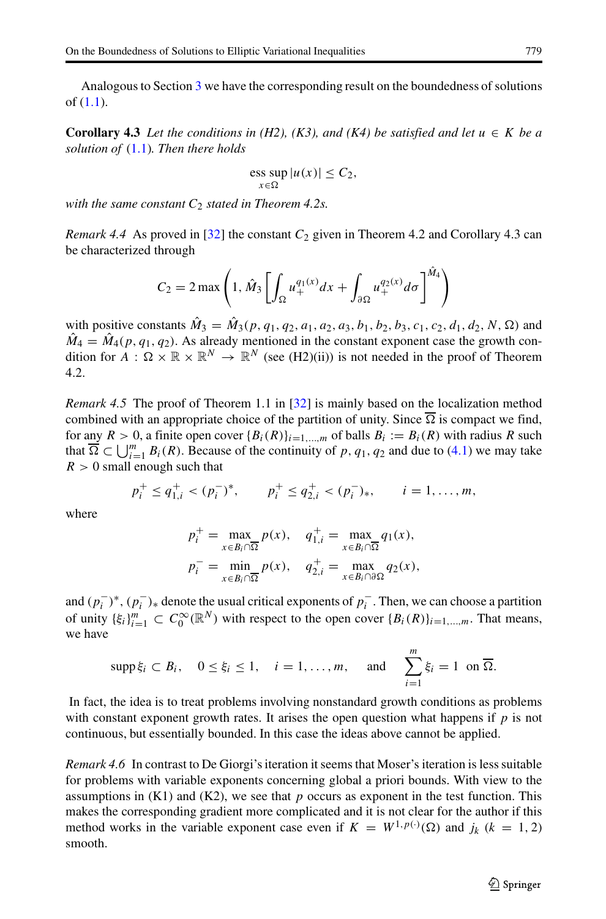Analogous to Section [3](#page-5-0) we have the corresponding result on the boundedness of solutions of [\(1.1\)](#page-0-0).

**Corollary 4.3** *Let the conditions in (H2), (K3), and (K4) be satisfied and let*  $u \in K$  *be a solution of* [\(1.1\)](#page-0-0)*. Then there holds*

$$
\underset{x \in \Omega}{\text{ess sup}} |u(x)| \le C_2,
$$

*with the same constant C*<sup>2</sup> *stated in Theorem 4.2s.*

*Remark 4.4* As proved in  $[32]$  the constant  $C_2$  given in Theorem 4.2 and Corollary 4.3 can be characterized through

$$
C_2 = 2 \max \left( 1, \hat{M}_3 \left[ \int_{\Omega} u_+^{q_1(x)} dx + \int_{\partial \Omega} u_+^{q_2(x)} d\sigma \right]^{\hat{M}_4} \right)
$$

with positive constants  $\hat{M}_3 = \hat{M}_3(p, q_1, q_2, a_1, a_2, a_3, b_1, b_2, b_3, c_1, c_2, d_1, d_2, N, \Omega)$  and  $\hat{M}_4 = \hat{M}_4(p, q_1, q_2)$ . As already mentioned in the constant exponent case the growth condition for  $A : \Omega \times \mathbb{R} \times \mathbb{R}^N \to \mathbb{R}^N$  (see (H2)(ii)) is not needed in the proof of Theorem 4.2.

*Remark 4.5* The proof of Theorem 1.1 in [[32\]](#page-18-0) is mainly based on the localization method combined with an appropriate choice of the partition of unity. Since  $\overline{\Omega}$  is compact we find, for any  $R > 0$ , a finite open cover  ${B_i(R)}_{i=1,...,m}$  of balls  $B_i := B_i(R)$  with radius R such that  $\overline{\Omega} \subset \bigcup_{i=1}^m B_i(R)$ . Because of the continuity of *p*, *q*<sub>1</sub>, *q*<sub>2</sub> and due to ([4.1\)](#page-13-2) we may take  $R > 0$  small enough such that

$$
p_i^+ \leq q_{1,i}^+ < (p_i^-)^*
$$
,  $p_i^+ \leq q_{2,i}^+ < (p_i^-)_*$ ,  $i = 1, ..., m$ ,

where

$$
p_i^+ = \max_{x \in B_i \cap \overline{\Omega}} p(x), \quad q_{1,i}^+ = \max_{x \in B_i \cap \overline{\Omega}} q_1(x),
$$
  

$$
p_i^- = \min_{x \in B_i \cap \overline{\Omega}} p(x), \quad q_{2,i}^+ = \max_{x \in B_i \cap \partial \Omega} q_2(x),
$$

and  $(p_i^-)^*$ ,  $(p_i^-)_*$  denote the usual critical exponents of  $p_i^-$ . Then, we can choose a partition of unity  $\{\xi_i\}_{i=1}^m \subset C_0^{\infty}(\mathbb{R}^N)$  with respect to the open cover  $\{B_i(R)\}_{i=1,\dots,m}$ . That means, we have

$$
\mathrm{supp}\,\xi_i\subset B_i,\quad 0\leq\xi_i\leq 1,\quad i=1,\ldots,m,\quad\text{ and }\quad\sum_{i=1}^m\xi_i=1\,\text{ on }\overline{\Omega}.
$$

In fact, the idea is to treat problems involving nonstandard growth conditions as problems with constant exponent growth rates. It arises the open question what happens if *p* is not continuous, but essentially bounded. In this case the ideas above cannot be applied.

*Remark 4.6* In contrast to De Giorgi's iteration it seems that Moser's iteration is less suitable for problems with variable exponents concerning global a priori bounds. With view to the assumptions in  $(K1)$  and  $(K2)$ , we see that p occurs as exponent in the test function. This makes the corresponding gradient more complicated and it is not clear for the author if this method works in the variable exponent case even if  $K = W^{1,p(\cdot)}(\Omega)$  and  $j_k$  ( $k = 1, 2$ ) smooth.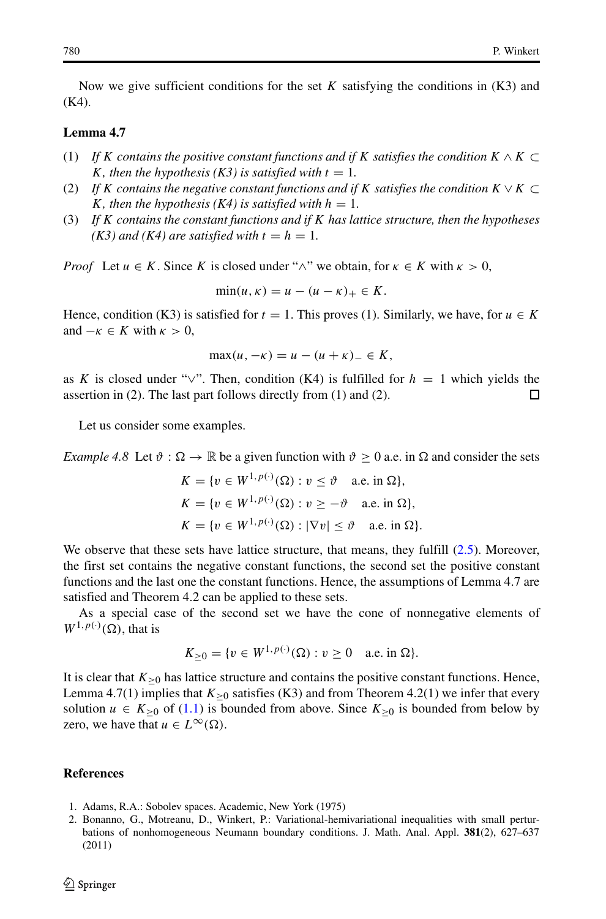Now we give sufficient conditions for the set *K* satisfying the conditions in (K3) and (K4).

### **Lemma 4.7**

- (1) *If <sup>K</sup> contains the positive constant functions and if <sup>K</sup> satisfies the condition <sup>K</sup>* <sup>∧</sup> *<sup>K</sup>* <sup>⊂</sup> *K, then the hypothesis* (*K3*) *is satisfied with*  $t = 1$ *.*
- (2) *If K* contains the negative constant functions and if *K* satisfies the condition  $K \vee K \subset$ *K, then the hypothesis (K4) is satisfied with*  $h = 1$ *.*
- (3) *If K contains the constant functions and if K has lattice structure, then the hypotheses (K3) and (K4) are satisfied with*  $t = h = 1$ *.*

*Proof* Let  $u \in K$ . Since K is closed under " $\wedge$ " we obtain, for  $\kappa \in K$  with  $\kappa > 0$ ,

$$
\min(u,\kappa) = u - (u - \kappa)_+ \in K.
$$

Hence, condition (K3) is satisfied for  $t = 1$ . This proves (1). Similarly, we have, for  $u \in K$ and  $-\kappa \in K$  with  $\kappa > 0$ ,

$$
\max(u, -\kappa) = u - (u + \kappa) - \epsilon K,
$$

as *K* is closed under "∨". Then, condition (K4) is fulfilled for  $h = 1$  which yields the assertion in (2). The last part follows directly from (1) and (2). assertion in (2). The last part follows directly from (1) and (2).

Let us consider some examples.

*Example 4.8* Let  $\vartheta$  :  $\Omega \to \mathbb{R}$  be a given function with  $\vartheta \ge 0$  a.e. in  $\Omega$  and consider the sets

$$
K = \{v \in W^{1, p(\cdot)}(\Omega) : v \le \vartheta \quad \text{a.e. in } \Omega\},\
$$
  

$$
K = \{v \in W^{1, p(\cdot)}(\Omega) : v \ge -\vartheta \quad \text{a.e. in } \Omega\},\
$$
  

$$
K = \{v \in W^{1, p(\cdot)}(\Omega) : |\nabla v| \le \vartheta \quad \text{a.e. in } \Omega\}.
$$

We observe that these sets have lattice structure, that means, they fulfill [\(2.5\)](#page-5-1). Moreover, the first set contains the negative constant functions, the second set the positive constant functions and the last one the constant functions. Hence, the assumptions of Lemma 4.7 are satisfied and Theorem 4.2 can be applied to these sets.

As a special case of the second set we have the cone of nonnegative elements of  $W^{1,p(\cdot)}(\Omega)$ , that is

$$
K_{\geq 0} = \{v \in W^{1, p(\cdot)}(\Omega) : v \geq 0 \text{ a.e. in } \Omega\}.
$$

It is clear that  $K_{\geq 0}$  has lattice structure and contains the positive constant functions. Hence, Lemma 4.7(1) implies that  $K_{>0}$  satisfies (K3) and from Theorem 4.2(1) we infer that every solution *u* ∈  $K_{\geq 0}$  of [\(1.1\)](#page-0-0) is bounded from above. Since  $K_{\geq 0}$  is bounded from below by zero, we have that  $u \in L^{\infty}(\Omega)$ .

#### **References**

- 1. Adams, R.A.: Sobolev spaces. Academic, New York (1975)
- <span id="page-17-0"></span>2. Bonanno, G., Motreanu, D., Winkert, P.: Variational-hemivariational inequalities with small perturbations of nonhomogeneous Neumann boundary conditions. J. Math. Anal. Appl. **381**(2), 627–637 (2011)